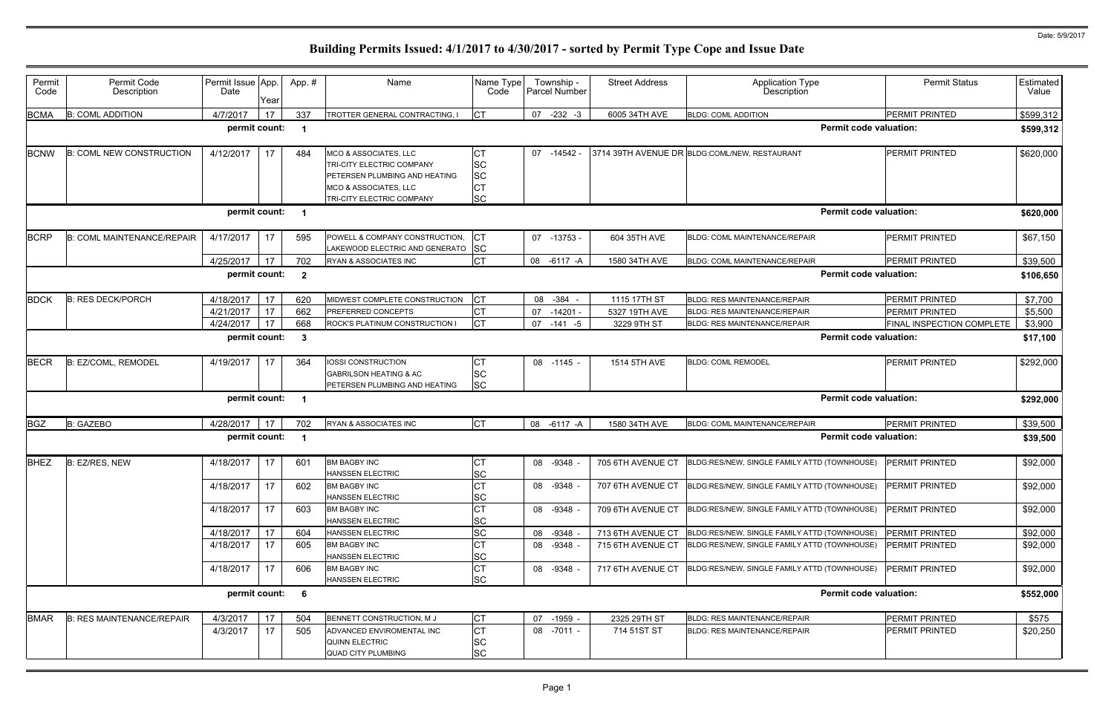| Permit<br>Code | Permit Code<br>Description        | Permit Issue App.<br>Date | Year | App.#                   | Name                                                                                                                                                               | Name Type<br>Code                         | Township -<br>Parcel Number | <b>Street Address</b> | <b>Application Type</b><br>Description        | <b>Permit Status</b>      | Estimated<br>Value |
|----------------|-----------------------------------|---------------------------|------|-------------------------|--------------------------------------------------------------------------------------------------------------------------------------------------------------------|-------------------------------------------|-----------------------------|-----------------------|-----------------------------------------------|---------------------------|--------------------|
| <b>BCMA</b>    | <b>B: COML ADDITION</b>           | 4/7/2017                  | 17   | 337                     | TROTTER GENERAL CONTRACTING,                                                                                                                                       | CТ                                        | $-232 - 3$<br>07            | 6005 34TH AVE         | <b>BLDG: COML ADDITION</b>                    | <b>PERMIT PRINTED</b>     | \$599,312          |
|                |                                   | permit count:             |      |                         |                                                                                                                                                                    |                                           |                             |                       | <b>Permit code valuation:</b>                 |                           | \$599,312          |
| <b>BCNW</b>    | <b>B: COML NEW CONSTRUCTION</b>   | 4/12/2017                 | 17   | 484                     | MCO & ASSOCIATES, LLC<br><b>TRI-CITY ELECTRIC COMPANY</b><br><b>PETERSEN PLUMBING AND HEATING</b><br><b>MCO &amp; ASSOCIATES, LLC</b><br>TRI-CITY ELECTRIC COMPANY | СT<br>SC<br><b>SC</b><br><b>CT</b><br>lsc | 07 -14542 -                 |                       | 3714 39TH AVENUE DR BLDG:COML/NEW, RESTAURANT | <b>PERMIT PRINTED</b>     | \$620,000          |
|                |                                   | permit count:             |      | $\overline{\mathbf{1}}$ |                                                                                                                                                                    |                                           |                             |                       | <b>Permit code valuation:</b>                 |                           | \$620,000          |
| <b>BCRP</b>    | <b>B: COML MAINTENANCE/REPAIR</b> | 4/17/2017                 | 17   | 595                     | POWELL & COMPANY CONSTRUCTION,<br>LAKEWOOD ELECTRIC AND GENERATO                                                                                                   | IСT<br><b>SC</b>                          | 07 -13753 -                 | 604 35TH AVE          | BLDG: COML MAINTENANCE/REPAIR                 | <b>PERMIT PRINTED</b>     | \$67,150           |
|                |                                   | 4/25/2017                 | 17   | 702                     | RYAN & ASSOCIATES INC                                                                                                                                              | СT                                        | 08<br>$-6117 - A$           | 1580 34TH AVE         | BLDG: COML MAINTENANCE/REPAIR                 | <b>PERMIT PRINTED</b>     | \$39,500           |
|                |                                   | permit count:             |      | $\overline{\mathbf{2}}$ |                                                                                                                                                                    |                                           |                             |                       | <b>Permit code valuation:</b>                 |                           | \$106,650          |
| <b>BDCK</b>    | <b>B: RES DECK/PORCH</b>          | 4/18/2017                 | 17   | 620                     | MIDWEST COMPLETE CONSTRUCTION                                                                                                                                      | СT                                        | 08 -384                     | 1115 17TH ST          | BLDG: RES MAINTENANCE/REPAIR                  | PERMIT PRINTED            | \$7,700            |
|                |                                   | 4/21/2017                 | 17   | 662                     | <b>PREFERRED CONCEPTS</b>                                                                                                                                          | СT                                        | $-14201$<br>07              | 5327 19TH AVE         | <b>BLDG: RES MAINTENANCE/REPAIR</b>           | <b>PERMIT PRINTED</b>     | \$5,500            |
|                |                                   | 4/24/2017                 | 17   | 668                     | ROCK'S PLATINUM CONSTRUCTION I                                                                                                                                     | <b>CT</b>                                 | 07 -141 -5                  | 3229 9TH ST           | <b>BLDG: RES MAINTENANCE/REPAIR</b>           | FINAL INSPECTION COMPLETE | \$3,900            |
|                |                                   | permit count:             |      | -3                      |                                                                                                                                                                    |                                           |                             |                       | <b>Permit code valuation:</b>                 |                           | \$17,100           |
| <b>BECR</b>    | B: EZ/COML, REMODEL               | 4/19/2017                 | 17   | 364                     | <b>IOSSI CONSTRUCTION</b><br><b>GABRILSON HEATING &amp; AC</b>                                                                                                     | C <sub>T</sub><br><b>SC</b>               | 08 -1145 -                  | 1514 5TH AVE          | <b>BLDG: COML REMODEL</b>                     | <b>PERMIT PRINTED</b>     | \$292,000          |
|                |                                   |                           |      |                         | PETERSEN PLUMBING AND HEATING                                                                                                                                      | <b>SC</b>                                 |                             |                       |                                               |                           |                    |
|                |                                   | permit count:             |      | - 1                     |                                                                                                                                                                    |                                           |                             |                       | <b>Permit code valuation:</b>                 |                           | \$292,000          |
| <b>BGZ</b>     | <b>B: GAZEBO</b>                  | 4/28/2017                 | 17   | 702                     | RYAN & ASSOCIATES INC                                                                                                                                              | <b>ICT</b>                                | 08 -6117 -A                 | 1580 34TH AVE         | BLDG: COML MAINTENANCE/REPAIR                 | PERMIT PRINTED            | \$39,500           |
|                |                                   | permit count:             |      | - 1                     |                                                                                                                                                                    |                                           |                             |                       | <b>Permit code valuation:</b>                 |                           | \$39,500           |
| <b>BHEZ</b>    | B: EZ/RES, NEW                    | 4/18/2017                 | 17   | 601                     | <b>BM BAGBY INC</b><br><b>HANSSEN ELECTRIC</b>                                                                                                                     | СJ<br><b>SC</b>                           | 08 -9348                    | 705 6TH AVENUE CT     | BLDG:RES/NEW, SINGLE FAMILY ATTD (TOWNHOUSE)  | <b>PERMIT PRINTED</b>     | \$92,000           |
|                |                                   | 4/18/2017                 | 17   | 602                     | <b>BM BAGBY INC</b><br><b>HANSSEN ELECTRIC</b>                                                                                                                     | <b>CT</b><br>SC                           | 08 -9348 -                  | 707 6TH AVENUE CT     | BLDG:RES/NEW, SINGLE FAMILY ATTD (TOWNHOUSE)  | <b>PERMIT PRINTED</b>     | \$92,000           |
|                |                                   | 4/18/2017                 | 17   | 603                     | <b>BM BAGBY INC</b><br><b>HANSSEN ELECTRIC</b>                                                                                                                     | СT<br>SC                                  | 08 -9348 -                  | 709 6TH AVENUE CT     | BLDG:RES/NEW, SINGLE FAMILY ATTD (TOWNHOUSE)  | <b>PERMIT PRINTED</b>     | \$92,000           |
|                |                                   | 4/18/2017                 | 17   | 604                     | <b>HANSSEN ELECTRIC</b>                                                                                                                                            | SC                                        | 08 - 9348                   | 713 6TH AVENUE CT     | BLDG:RES/NEW, SINGLE FAMILY ATTD (TOWNHOUSE)  | <b>PERMIT PRINTED</b>     | \$92,000           |
|                |                                   | 4/18/2017                 | 17   | 605                     | <b>BM BAGBY INC</b><br><b>HANSSEN ELECTRIC</b>                                                                                                                     | СT<br>SC                                  | 08 -9348 -                  | 715 6TH AVENUE CT     | BLDG:RES/NEW, SINGLE FAMILY ATTD (TOWNHOUSE)  | <b>PERMIT PRINTED</b>     | \$92,000           |
|                |                                   | 4/18/2017                 | 17   | 606                     | <b>BM BAGBY INC</b><br><b>HANSSEN ELECTRIC</b>                                                                                                                     | <b>CT</b><br><b>SC</b>                    | 08 -9348 -                  | 717 6TH AVENUE CT     | BLDG:RES/NEW, SINGLE FAMILY ATTD (TOWNHOUSE)  | <b>PERMIT PRINTED</b>     | \$92,000           |
|                |                                   | permit count: 6           |      |                         |                                                                                                                                                                    |                                           |                             |                       | <b>Permit code valuation:</b>                 |                           | \$552,000          |
| <b>BMAR</b>    | <b>B: RES MAINTENANCE/REPAIR</b>  | 4/3/2017                  | 17   | 504                     | BENNETT CONSTRUCTION, M J                                                                                                                                          | <b>CT</b>                                 | 07 -1959 -                  | 2325 29TH ST          | BLDG: RES MAINTENANCE/REPAIR                  | PERMIT PRINTED            | \$575              |
|                |                                   | 4/3/2017                  | 17   | 505                     | ADVANCED ENVIROMENTAL INC<br><b>QUINN ELECTRIC</b><br><b>QUAD CITY PLUMBING</b>                                                                                    | Iст<br><b>SC</b><br><b>SC</b>             | 08 -7011 -                  | 714 51ST ST           | BLDG: RES MAINTENANCE/REPAIR                  | PERMIT PRINTED            | \$20,250           |
|                |                                   |                           |      |                         |                                                                                                                                                                    |                                           |                             |                       |                                               |                           |                    |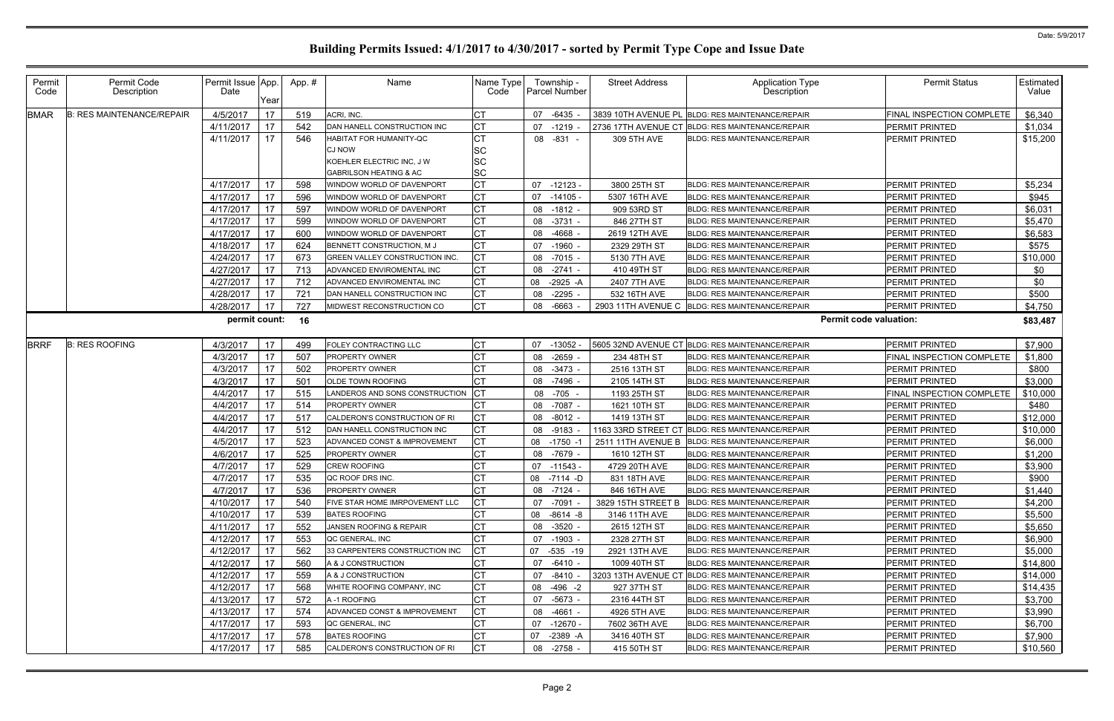| Permit<br>Code | Permit Code<br>Description       | Permit Issue App.<br>Date | Year     | App.#      | Name                                            | Name Type<br>Code | Township -<br>Parcel Number | <b>Street Address</b>         | Application Type<br>Description                                            | <b>Permit Status</b>                    | Estimated<br>Value   |
|----------------|----------------------------------|---------------------------|----------|------------|-------------------------------------------------|-------------------|-----------------------------|-------------------------------|----------------------------------------------------------------------------|-----------------------------------------|----------------------|
| <b>BMAR</b>    | <b>B: RES MAINTENANCE/REPAIR</b> | 4/5/2017                  | 17       | 519        | ACRI, INC.                                      | СT                | $-6435$<br>07               |                               | 3839 10TH AVENUE PL BLDG: RES MAINTENANCE/REPAIR                           | FINAL INSPECTION COMPLETE               | \$6,340              |
|                |                                  | 4/11/2017                 | 17       | 542        | DAN HANELL CONSTRUCTION INC                     | CT                | 07 -1219 -                  |                               | 2736 17TH AVENUE CT BLDG: RES MAINTENANCE/REPAIR                           | PERMIT PRINTED                          | \$1,034              |
|                |                                  | 4/11/2017                 | 17       | 546        | HABITAT FOR HUMANITY-QC                         | <b>CT</b>         | 08 -831 -                   | 309 5TH AVE                   | <b>BLDG: RES MAINTENANCE/REPAIR</b>                                        | PERMIT PRINTED                          | \$15,200             |
|                |                                  |                           |          |            | <b>CJ NOW</b>                                   | ΙSC               |                             |                               |                                                                            |                                         |                      |
|                |                                  |                           |          |            | KOEHLER ELECTRIC INC, J W                       | <b>SC</b>         |                             |                               |                                                                            |                                         |                      |
|                |                                  |                           |          |            | <b>GABRILSON HEATING &amp; AC</b>               | <b>SC</b>         |                             |                               |                                                                            |                                         |                      |
|                |                                  | 4/17/2017                 | 17       | 598        | WINDOW WORLD OF DAVENPORT                       | CT                | $-12123-$<br>07             | 3800 25TH ST                  | <b>BLDG: RES MAINTENANCE/REPAIR</b>                                        | PERMIT PRINTED                          | \$5,234              |
|                |                                  | 4/17/2017                 | 17       | 596        | WINDOW WORLD OF DAVENPORT                       | CT                | 07 -14105 -                 | 5307 16TH AVE                 | <b>BLDG: RES MAINTENANCE/REPAIR</b>                                        | PERMIT PRINTED                          | \$945                |
|                |                                  | 4/17/2017                 | 17       | 597        | WINDOW WORLD OF DAVENPORT                       | CT                | 08 -1812 -                  | 909 53RD ST                   | BLDG: RES MAINTENANCE/REPAIR                                               | PERMIT PRINTED                          | \$6,031              |
|                |                                  | 4/17/2017                 | 17       | 599        | WINDOW WORLD OF DAVENPORT                       | <b>CT</b>         | 08 -3731 -                  | 846 27TH ST                   | <b>BLDG: RES MAINTENANCE/REPAIR</b>                                        | PERMIT PRINTED                          | \$5,470              |
|                |                                  | 4/17/2017                 | -17      | 600        | WINDOW WORLD OF DAVENPORT                       | СT                | 08 -4668                    | 2619 12TH AVE                 | <b>BLDG: RES MAINTENANCE/REPAIR</b>                                        | PERMIT PRINTED                          | \$6,583              |
|                |                                  | 4/18/2017                 | 17       | 624        | BENNETT CONSTRUCTION, M J                       | CT                | 07 -1960                    | 2329 29TH ST                  | <b>BLDG: RES MAINTENANCE/REPAIR</b>                                        | PERMIT PRINTED                          | \$575                |
|                |                                  | 4/24/2017                 | 17       | 673        | GREEN VALLEY CONSTRUCTION INC.                  | <b>CT</b>         | 08 -7015 -                  | 5130 7TH AVE                  | <b>BLDG: RES MAINTENANCE/REPAIR</b>                                        | PERMIT PRINTED                          | \$10,000             |
|                |                                  | 4/27/2017                 | 17       | 713        | ADVANCED ENVIROMENTAL INC                       | CT                | 08 -2741 -                  | 410 49TH ST                   | <b>BLDG: RES MAINTENANCE/REPAIR</b>                                        | PERMIT PRINTED                          | \$0                  |
|                |                                  | 4/27/2017                 | 17       | 712        | ADVANCED ENVIROMENTAL INC                       | CT                | 08<br>$-2925 - A$           | 2407 7TH AVE                  | <b>BLDG: RES MAINTENANCE/REPAIR</b>                                        | PERMIT PRINTED                          | \$0                  |
|                |                                  | 4/28/2017                 | 17       | 721        | DAN HANELL CONSTRUCTION INC                     | СT                | 08<br>$-2295$ .             | 532 16TH AVE                  | <b>BLDG: RES MAINTENANCE/REPAIR</b>                                        | PERMIT PRINTED                          | \$500                |
|                |                                  | 4/28/2017                 | 17       | 727        | MIDWEST RECONSTRUCTION CO                       | IСТ               | -6663<br>08                 |                               | 2903 11TH AVENUE C BLDG: RES MAINTENANCE/REPAIR                            | PERMIT PRINTED                          | \$4,750              |
|                |                                  | permit count: 16          |          |            |                                                 |                   |                             |                               | <b>Permit code valuation:</b>                                              |                                         | \$83,487             |
|                |                                  |                           |          |            |                                                 |                   |                             |                               |                                                                            |                                         |                      |
| <b>BRRF</b>    | <b>B: RES ROOFING</b>            | 4/3/2017                  | 17       | 499        | FOLEY CONTRACTING LLC                           | IСТ               | 07<br>-13052                |                               | 5605 32ND AVENUE CT BLDG: RES MAINTENANCE/REPAIR                           | <b>PERMIT PRINTED</b>                   | \$7,900              |
|                |                                  | 4/3/2017                  | 17       | 507        | <b>PROPERTY OWNER</b>                           | <b>CT</b>         | 08 -2659                    | 234 48TH ST                   | <b>BLDG: RES MAINTENANCE/REPAIR</b>                                        | FINAL INSPECTION COMPLETE               | \$1,800              |
|                |                                  | 4/3/2017                  | 17       | 502        | <b>PROPERTY OWNER</b>                           | СT                | 08 - 3473 -                 | 2516 13TH ST                  | <b>BLDG: RES MAINTENANCE/REPAIR</b>                                        | PERMIT PRINTED                          | \$800                |
|                |                                  | 4/3/2017                  | 17       | 501        | <b>OLDE TOWN ROOFING</b>                        | CТ                | 08 -7496                    | 2105 14TH ST                  | <b>BLDG: RES MAINTENANCE/REPAIR</b>                                        | PERMIT PRINTED                          | \$3,000              |
|                |                                  | 4/4/2017                  | 17       | 515        | LANDEROS AND SONS CONSTRUCTION                  | СT                | 08 -705 -                   | 1193 25TH ST                  | <b>BLDG: RES MAINTENANCE/REPAIR</b>                                        | FINAL INSPECTION COMPLETE               | \$10,000             |
|                |                                  | 4/4/2017                  | 17       | 514        | <b>PROPERTY OWNER</b>                           |                   | 08 -7087 -                  | 1621 10TH ST                  | <b>BLDG: RES MAINTENANCE/REPAIR</b>                                        | PERMIT PRINTED                          | \$480                |
|                |                                  | 4/4/2017                  | 17       | 517        | CALDERON'S CONSTRUCTION OF RI                   | CT                | 08 -8012 -                  | 1419 13TH ST                  | <b>BLDG: RES MAINTENANCE/REPAIR</b>                                        | PERMIT PRINTED                          | \$12,000             |
|                |                                  | 4/4/2017                  | 17       | 512        | DAN HANELL CONSTRUCTION INC                     | СT                | 08<br>-9183 -               | 1163 33RD STREET CT           | BLDG: RES MAINTENANCE/REPAIR                                               | PERMIT PRINTED                          | \$10,000             |
|                |                                  | 4/5/2017                  | 17       | 523        | ADVANCED CONST & IMPROVEMENT                    | C <sub>T</sub>    | 08<br>$-1750 - 1$           |                               | 2511 11TH AVENUE B  BLDG: RES MAINTENANCE/REPAIR                           | PERMIT PRINTED                          | \$6,000              |
|                |                                  | 4/6/2017                  | 17       | 525        | <b>PROPERTY OWNER</b>                           | <b>CT</b>         | 08 -7679 -                  | 1610 12TH ST                  | <b>BLDG: RES MAINTENANCE/REPAIR</b>                                        | PERMIT PRINTED                          | \$1,200              |
|                |                                  | 4/7/2017                  | 17       | 529        | <b>CREW ROOFING</b>                             | CT<br>$\cap$ T    | 07 -11543 -                 | 4729 20TH AVE                 | <b>BLDG: RES MAINTENANCE/REPAIR</b>                                        | PERMIT PRINTED                          | \$3,900              |
|                |                                  | 4/7/2017 17               |          | 535        | QC ROOF DRS INC.                                | ◡                 | 08 -7114 -D                 | 831 18TH AVE                  | BLDG: RES MAINTENANCE/REPAIR                                               | PERMIT PRINTED                          | \$900                |
|                |                                  | 4/7/2017                  | 17       | 536        | <b>PROPERTY OWNER</b>                           |                   | 08 -7124 -                  | 846 16TH AVE                  | <b>BLDG: RES MAINTENANCE/REPAIR</b>                                        | <b>PERMIT PRINTED</b>                   | \$1,440              |
|                |                                  | 4/10/2017                 | 17       | 540        | <b>FIVE STAR HOME IMRPOVEMENT LLC</b>           | CТ                | 07 -7091 -                  | 3829 15TH STREET B            | <b>BLDG: RES MAINTENANCE/REPAIR</b>                                        | PERMIT PRINTED                          | \$4,200              |
|                |                                  | 4/10/2017<br>4/11/2017    | 17<br>17 | 539<br>552 | <b>BATES ROOFING</b><br>JANSEN ROOFING & REPAIR | СT<br>CT          | 08 -8614 -8<br>08 -3520 -   | 3146 11TH AVE<br>2615 12TH ST | <b>BLDG: RES MAINTENANCE/REPAIR</b><br><b>BLDG: RES MAINTENANCE/REPAIR</b> | <b>PERMIT PRINTED</b><br>PERMIT PRINTED | \$5,500              |
|                |                                  |                           |          |            | QC GENERAL, INC                                 | <b>CT</b>         |                             | 2328 27TH ST                  | <b>BLDG: RES MAINTENANCE/REPAIR</b>                                        |                                         | \$5,650              |
|                |                                  | 4/12/2017<br>4/12/2017    | 17<br>17 | 553<br>562 | 33 CARPENTERS CONSTRUCTION INC                  | СT                | 07 -1903 -<br>07 -535 -19   | 2921 13TH AVE                 | <b>BLDG: RES MAINTENANCE/REPAIR</b>                                        | PERMIT PRINTED<br>PERMIT PRINTED        | \$6,900<br>\$5,000   |
|                |                                  | 4/12/2017                 | 17       | 560        | A & J CONSTRUCTION                              | СT                | 07 -6410 -                  | 1009 40TH ST                  | <b>BLDG: RES MAINTENANCE/REPAIR</b>                                        | PERMIT PRINTED                          |                      |
|                |                                  | 4/12/2017                 | 17       | 559        | A & J CONSTRUCTION                              | CT                | 07 -8410 -                  |                               | 3203 13TH AVENUE CT BLDG: RES MAINTENANCE/REPAIR                           | <b>PERMIT PRINTED</b>                   | \$14,800<br>\$14,000 |
|                |                                  | 4/12/2017                 | 17       | 568        | WHITE ROOFING COMPANY, INC                      | СT                | 08 -496 -2                  | 927 37TH ST                   | <b>BLDG: RES MAINTENANCE/REPAIR</b>                                        | PERMIT PRINTED                          | \$14,435             |
|                |                                  | 4/13/2017                 | 17       | 572        | A-1 ROOFING                                     | СT                | 07 -5673 -                  |                               | <b>BLDG: RES MAINTENANCE/REPAIR</b>                                        | <b>PERMIT PRINTED</b>                   | \$3,700              |
|                |                                  | 4/13/2017                 | 17       | 574        | ADVANCED CONST & IMPROVEMENT                    | СT                | 08 -4661 -                  | 2316 44TH ST<br>4926 5TH AVE  | <b>BLDG: RES MAINTENANCE/REPAIR</b>                                        | PERMIT PRINTED                          | \$3,990              |
|                |                                  | 4/17/2017                 | -17      | 593        | QC GENERAL, INC                                 | СT                | 07 -12670 -                 | 7602 36TH AVE                 | <b>BLDG: RES MAINTENANCE/REPAIR</b>                                        | PERMIT PRINTED                          | \$6,700              |
|                |                                  | 4/17/2017                 | 17       | 578        | <b>BATES ROOFING</b>                            | CT                | 07<br>$-2389 - A$           | 3416 40TH ST                  | BLDG: RES MAINTENANCE/REPAIR                                               | PERMIT PRINTED                          | \$7,900              |
|                |                                  | 4/17/2017                 | 17       | 585        | CALDERON'S CONSTRUCTION OF RI                   | <b>CT</b>         | 08 -2758 -                  | 415 50TH ST                   | <b>BLDG: RES MAINTENANCE/REPAIR</b>                                        | PERMIT PRINTED                          | \$10,560             |
|                |                                  |                           |          |            |                                                 |                   |                             |                               |                                                                            |                                         |                      |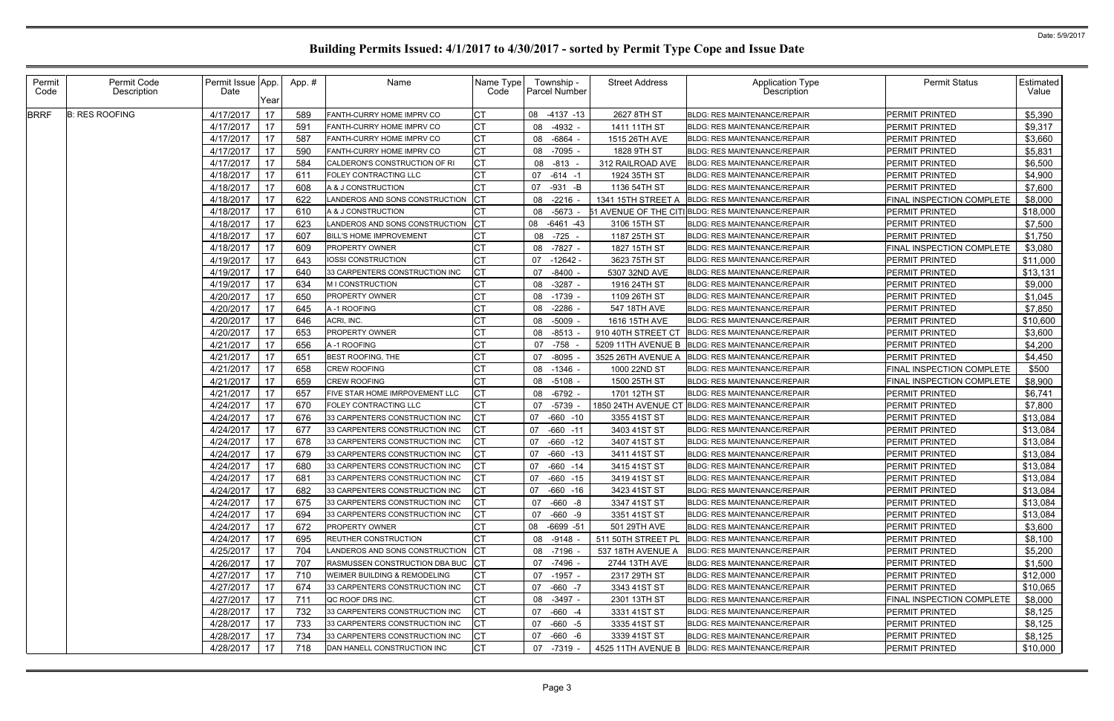| Permit<br>Code | Permit Code<br>Description | Permit Issue App.<br>Date | Year | App.# | Name                           | Name Type<br>Code | Township -<br><b>Parcel Number</b> | <b>Street Address</b> | Application Type<br>Description                   | <b>Permit Status</b>             | Estimated<br>Value |
|----------------|----------------------------|---------------------------|------|-------|--------------------------------|-------------------|------------------------------------|-----------------------|---------------------------------------------------|----------------------------------|--------------------|
| <b>BRRF</b>    | <b>B: RES ROOFING</b>      | 4/17/2017                 | 17   | 589   | FANTH-CURRY HOME IMPRV CO      | СT                | 08 -4137 -13                       | 2627 8TH ST           | <b>BLDG: RES MAINTENANCE/REPAIR</b>               | PERMIT PRINTED                   | \$5,390            |
|                |                            | 4/17/2017                 | 17   | 591   | FANTH-CURRY HOME IMPRV CO      | <b>CT</b>         | -4932 -<br>08                      | 1411 11TH ST          | <b>BLDG: RES MAINTENANCE/REPAIR</b>               | PERMIT PRINTED                   | \$9,317            |
|                |                            | 4/17/2017                 | 17   | 587   | FANTH-CURRY HOME IMPRV CO      | СT                | 08 -6864 -                         | 1515 26TH AVE         | <b>BLDG: RES MAINTENANCE/REPAIR</b>               | PERMIT PRINTED                   | \$3,660            |
|                |                            | 4/17/2017                 | 17   | 590   | FANTH-CURRY HOME IMPRV CO      | СT                | -7095<br>08                        | 1828 9TH ST           | <b>BLDG: RES MAINTENANCE/REPAIR</b>               | <b>PERMIT PRINTED</b>            | \$5,831            |
|                |                            | 4/17/2017                 | 17   | 584   | CALDERON'S CONSTRUCTION OF RI  | C <sub>1</sub>    | 08 -813                            | 312 RAILROAD AVE      | <b>BLDG: RES MAINTENANCE/REPAIR</b>               | PERMIT PRINTED                   | \$6,500            |
|                |                            | 4/18/2017                 | 17   | 611   | FOLEY CONTRACTING LLC          | CT                | 07 -614 -1                         | 1924 35TH ST          | <b>BLDG: RES MAINTENANCE/REPAIR</b>               | PERMIT PRINTED                   | \$4,900            |
|                |                            | 4/18/2017                 | 17   | 608   | A & J CONSTRUCTION             |                   | 07<br>-931 -B                      | 1136 54TH ST          | <b>BLDG: RES MAINTENANCE/REPAIR</b>               | PERMIT PRINTED                   | \$7,600            |
|                |                            | 4/18/2017                 | 17   | 622   | LANDEROS AND SONS CONSTRUCTION |                   | 08 -2216 -                         | 1341 15TH STREET A    | <b>BLDG: RES MAINTENANCE/REPAIR</b>               | FINAL INSPECTION COMPLETE        | \$8,000            |
|                |                            | 4/18/2017                 | 17   | 610   | A & J CONSTRUCTION             |                   | 08 -5673                           |                       | 51 AVENUE OF THE CITIBLDG: RES MAINTENANCE/REPAIR | <b>PERMIT PRINTED</b>            | \$18,000           |
|                |                            | 4/18/2017                 | 17   | 623   | LANDEROS AND SONS CONSTRUCTION |                   | $-6461 - 43$<br>08                 | 3106 15TH ST          | BLDG: RES MAINTENANCE/REPAIR                      | PERMIT PRINTED                   | \$7,500            |
|                |                            | 4/18/2017                 | 17   | 607   | <b>BILL'S HOME IMPROVEMENT</b> | СT                | 08 -725                            | 1187 25TH ST          | <b>BLDG: RES MAINTENANCE/REPAIR</b>               | PERMIT PRINTED                   | \$1,750            |
|                |                            | 4/18/2017                 | 17   | 609   | <b>PROPERTY OWNER</b>          |                   | 08 -7827 -                         | 1827 15TH ST          | <b>BLDG: RES MAINTENANCE/REPAIR</b>               | FINAL INSPECTION COMPLETE        | \$3,080            |
|                |                            | 4/19/2017                 | 17   | 643   | IOSSI CONSTRUCTION             | СT                | 07 -12642 -                        | 3623 75TH ST          | <b>BLDG: RES MAINTENANCE/REPAIR</b>               | PERMIT PRINTED                   | \$11,000           |
|                |                            | 4/19/2017                 | 17   | 640   | 33 CARPENTERS CONSTRUCTION INC |                   | $-8400$<br>07                      | 5307 32ND AVE         | <b>BLDG: RES MAINTENANCE/REPAIR</b>               | PERMIT PRINTED                   | \$13,131           |
|                |                            | 4/19/2017                 | 17   | 634   | M I CONSTRUCTION               | СT                | 08 -3287 -                         | 1916 24TH ST          | <b>BLDG: RES MAINTENANCE/REPAIR</b>               | PERMIT PRINTED                   | \$9,000            |
|                |                            | 4/20/2017                 | 17   | 650   | PROPERTY OWNER                 |                   | 08 -1739 -                         | 1109 26TH ST          | <b>BLDG: RES MAINTENANCE/REPAIR</b>               | PERMIT PRINTED                   | \$1,045            |
|                |                            | 4/20/2017                 | 17   | 645   | A-1 ROOFING                    | СT                | 08 -2286                           | 547 18TH AVE          | BLDG: RES MAINTENANCE/REPAIR                      | PERMIT PRINTED                   | \$7,850            |
|                |                            | 4/20/2017                 | 17   | 646   | ACRI, INC.                     | СT                | -5009<br>08                        | 1616 15TH AVE         | <b>BLDG: RES MAINTENANCE/REPAIR</b>               | PERMIT PRINTED                   | \$10,600           |
|                |                            | 4/20/2017                 | 17   | 653   | <b>PROPERTY OWNER</b>          |                   | 08 -8513                           | 910 40TH STREET CT    | <b>BLDG: RES MAINTENANCE/REPAIR</b>               | PERMIT PRINTED                   | \$3,600            |
|                |                            | 4/21/2017                 | 17   | 656   | A-1 ROOFING                    | СT                | $-758$<br>07                       | 5209 11TH AVENUE B    | <b>BLDG: RES MAINTENANCE/REPAIR</b>               | PERMIT PRINTED                   | \$4,200            |
|                |                            | 4/21/2017                 | 17   | 651   | BEST ROOFING, THE              |                   | 07<br>-8095                        | 3525 26TH AVENUE A    | <b>BLDG: RES MAINTENANCE/REPAIR</b>               | PERMIT PRINTED                   | \$4,450            |
|                |                            | 4/21/2017                 | 17   | 658   | <b>CREW ROOFING</b>            | C.                | 08 -1346 -                         | 1000 22ND ST          | <b>BLDG: RES MAINTENANCE/REPAIR</b>               | FINAL INSPECTION COMPLETE        | \$500              |
|                |                            | 4/21/2017                 | 17   | 659   | <b>CREW ROOFING</b>            |                   | 08 -5108 -                         | 1500 25TH ST          | <b>BLDG: RES MAINTENANCE/REPAIR</b>               | <b>FINAL INSPECTION COMPLETE</b> | \$8,900            |
|                |                            | 4/21/2017                 | 17   | 657   | FIVE STAR HOME IMRPOVEMENT LLC |                   | 08 -6792 -                         | 1701 12TH ST          | <b>BLDG: RES MAINTENANCE/REPAIR</b>               | PERMIT PRINTED                   | \$6,741            |
|                |                            | 4/24/2017                 | 17   | 670   | FOLEY CONTRACTING LLC          |                   | $-5739$<br>07                      | 1850 24TH AVENUE CT   | <b>BLDG: RES MAINTENANCE/REPAIR</b>               | PERMIT PRINTED                   | \$7,800            |
|                |                            | 4/24/2017                 | 17   | 676   | 33 CARPENTERS CONSTRUCTION INC | СT                | $-660 - 10$<br>07                  | 3355 41ST ST          | <b>BLDG: RES MAINTENANCE/REPAIR</b>               | PERMIT PRINTED                   | \$13,084           |
|                |                            | 4/24/2017                 | 17   | 677   | 33 CARPENTERS CONSTRUCTION INC | 31                | $-660 - 11$<br>07                  | 3403 41ST ST          | <b>BLDG: RES MAINTENANCE/REPAIR</b>               | <b>PERMIT PRINTED</b>            | \$13,084           |
|                |                            | 4/24/2017                 | 17   | 678   | 33 CARPENTERS CONSTRUCTION INC |                   | 07<br>$-660 -12$                   | 3407 41ST ST          | <b>BLDG: RES MAINTENANCE/REPAIR</b>               | PERMIT PRINTED                   | \$13,084           |
|                |                            | 4/24/2017                 | 17   | 679   | 33 CARPENTERS CONSTRUCTION INC |                   | 07<br>$-660 - 13$                  | 3411 41ST ST          | <b>BLDG: RES MAINTENANCE/REPAIR</b>               | PERMIT PRINTED                   | \$13,084           |
|                |                            | 4/24/2017                 | 17   | 680   | 33 CARPENTERS CONSTRUCTION INC |                   | 07<br>-660 -14                     | 3415 41ST ST          | <b>BLDG: RES MAINTENANCE/REPAIR</b>               | PERMIT PRINTED                   | \$13,084           |
|                |                            | 4/24/2017 17              |      | 681   | 33 CARPENTERS CONSTRUCTION INC | <b>CT</b>         | 07 -660 -15                        | 3419 41ST ST          | <b>BLDG: RES MAINTENANCE/REPAIR</b>               | PERMIT PRINTED                   | \$13,084           |
|                |                            | 4/24/2017                 | 17   | 682   | 33 CARPENTERS CONSTRUCTION INC |                   | 07 -660 -16                        | 3423 41ST ST          | <b>BLDG: RES MAINTENANCE/REPAIR</b>               | PERMIT PRINTED                   | \$13,084           |
|                |                            | 4/24/2017                 | 17   | 675   | 33 CARPENTERS CONSTRUCTION INC |                   | 07 -660 -8                         | 3347 41ST ST          | <b>BLDG: RES MAINTENANCE/REPAIR</b>               | <b>PERMIT PRINTED</b>            | \$13,084           |
|                |                            | 4/24/2017                 | 17   | 694   | 33 CARPENTERS CONSTRUCTION INC | СΤ                | 07 -660 -9                         | 3351 41ST ST          | <b>BLDG: RES MAINTENANCE/REPAIR</b>               | PERMIT PRINTED                   | \$13,084           |
|                |                            | 4/24/2017                 | 17   | 672   | <b>PROPERTY OWNER</b>          | СT                | 08 -6699 -51                       | 501 29TH AVE          | <b>BLDG: RES MAINTENANCE/REPAIR</b>               | PERMIT PRINTED                   | \$3,600            |
|                |                            | 4/24/2017                 | 17   | 695   | <b>REUTHER CONSTRUCTION</b>    | СT                | 08 -9148 -                         | 511 50TH STREET PL    | BLDG: RES MAINTENANCE/REPAIR                      | PERMIT PRINTED                   | \$8,100            |
|                |                            | 4/25/2017                 | 17   | 704   | LANDEROS AND SONS CONSTRUCTION | СT                | 08 -7196 -                         | 537 18TH AVENUE A     | <b>BLDG: RES MAINTENANCE/REPAIR</b>               | PERMIT PRINTED                   | \$5,200            |
|                |                            | 4/26/2017                 | 17   | 707   | RASMUSSEN CONSTRUCTION DBA BUC | IСT               | 07 -7496 -                         | 2744 13TH AVE         | <b>BLDG: RES MAINTENANCE/REPAIR</b>               | PERMIT PRINTED                   | \$1,500            |
|                |                            | 4/27/2017                 | 17   | 710   | WEIMER BUILDING & REMODELING   | СT                | 07 -1957 -                         | 2317 29TH ST          | <b>BLDG: RES MAINTENANCE/REPAIR</b>               | PERMIT PRINTED                   | \$12,000           |
|                |                            | 4/27/2017                 | 17   | 674   | 33 CARPENTERS CONSTRUCTION INC |                   | 07 -660 -7                         | 3343 41ST ST          | <b>BLDG: RES MAINTENANCE/REPAIR</b>               | PERMIT PRINTED                   | \$10,065           |
|                |                            | 4/27/2017                 | 17   | 711   | QC ROOF DRS INC.               |                   | 08 -3497 -                         | 2301 13TH ST          | <b>BLDG: RES MAINTENANCE/REPAIR</b>               | FINAL INSPECTION COMPLETE        | \$8,000            |
|                |                            | 4/28/2017                 | 17   | 732   | 33 CARPENTERS CONSTRUCTION INC |                   | 07 -660 -4                         | 3331 41ST ST          | <b>BLDG: RES MAINTENANCE/REPAIR</b>               | <b>PERMIT PRINTED</b>            | \$8,125            |
|                |                            | 4/28/2017                 | 17   | 733   | 33 CARPENTERS CONSTRUCTION INC | CТ                | 07 -660 -5                         | 3335 41ST ST          | <b>BLDG: RES MAINTENANCE/REPAIR</b>               | PERMIT PRINTED                   | \$8,125            |
|                |                            | 4/28/2017                 | 17   | 734   | 33 CARPENTERS CONSTRUCTION INC | 31                | 07 -660 -6                         | 3339 41ST ST          | <b>BLDG: RES MAINTENANCE/REPAIR</b>               | PERMIT PRINTED                   | \$8,125            |
|                |                            | 4/28/2017                 | 17   | 718   | DAN HANELL CONSTRUCTION INC    | СT                | 07 -7319 -                         |                       | 4525 11TH AVENUE B   BLDG: RES MAINTENANCE/REPAIR | PERMIT PRINTED                   | \$10,000           |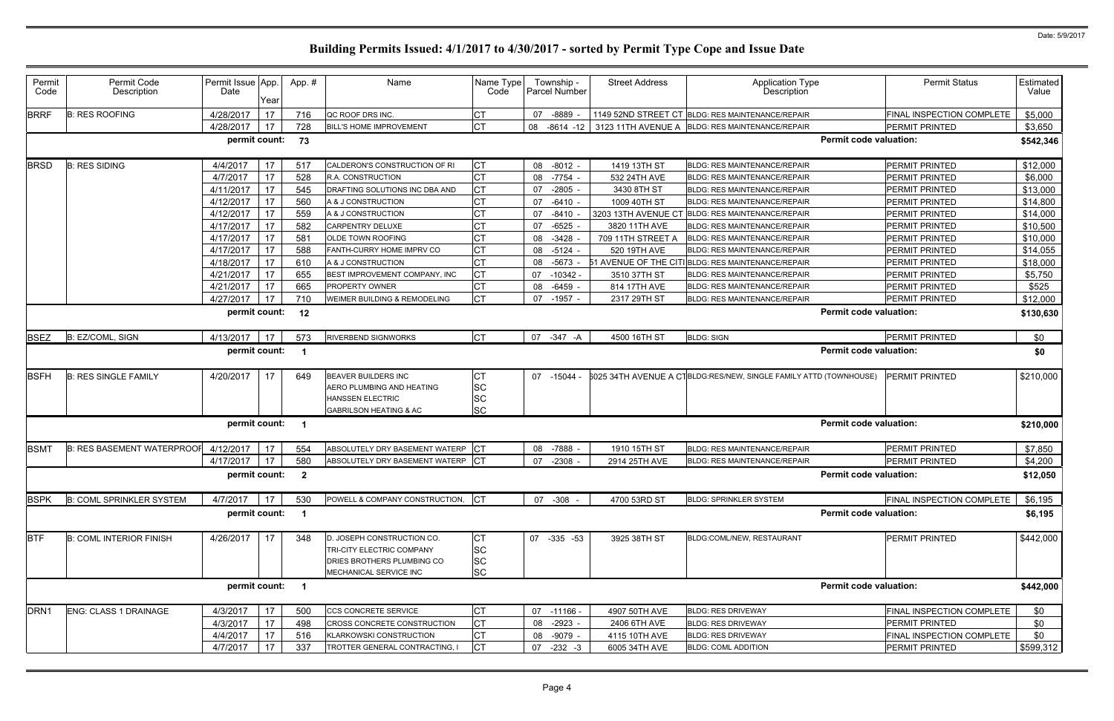| Permit           | Permit Code                       | Permit Issue App. |          | App.#                    | Name                                               | Name Type  | Township -           | <b>Street Address</b> | <b>Application Type</b>                                                                             | <b>Permit Status</b>                               | Estimated |
|------------------|-----------------------------------|-------------------|----------|--------------------------|----------------------------------------------------|------------|----------------------|-----------------------|-----------------------------------------------------------------------------------------------------|----------------------------------------------------|-----------|
| Code             | Description                       | Date              |          |                          |                                                    | Code       | <b>Parcel Number</b> |                       | Description                                                                                         |                                                    | Value     |
|                  |                                   |                   | Year     |                          |                                                    |            |                      |                       |                                                                                                     |                                                    |           |
| <b>BRRF</b>      | <b>B: RES ROOFING</b>             | 4/28/2017         | 17<br>17 | 716<br>728               | QC ROOF DRS INC.<br><b>BILL'S HOME IMPROVEMENT</b> | СT<br>Iст  | 07<br>-8889 -<br>08  |                       | 1149 52ND STREET CT BLDG: RES MAINTENANCE/REPAIR<br>3123 11TH AVENUE A BLDG: RES MAINTENANCE/REPAIR | FINAL INSPECTION COMPLETE<br><b>PERMIT PRINTED</b> | \$5,000   |
|                  |                                   | 4/28/2017         |          |                          |                                                    |            | -8614 -12            |                       |                                                                                                     |                                                    | \$3,650   |
|                  |                                   | permit count: 73  |          |                          |                                                    |            |                      |                       |                                                                                                     | <b>Permit code valuation:</b>                      | \$542,346 |
| <b>BRSD</b>      | <b>B: RES SIDING</b>              | 4/4/2017          | 17       | 517                      | CALDERON'S CONSTRUCTION OF RI                      | СT         | 08 -8012 -           | 1419 13TH ST          | <b>BLDG: RES MAINTENANCE/REPAIR</b>                                                                 | PERMIT PRINTED                                     | \$12,000  |
|                  |                                   | 4/7/2017          | 17       | 528                      | R.A. CONSTRUCTION                                  | <b>CT</b>  | 08 -7754             | 532 24TH AVE          | BLDG: RES MAINTENANCE/REPAIR                                                                        | PERMIT PRINTED                                     | \$6,000   |
|                  |                                   | 4/11/2017         | 17       | 545                      | DRAFTING SOLUTIONS INC DBA AND                     | СT         | 07<br>$-2805$ -      | 3430 8TH ST           | <b>BLDG: RES MAINTENANCE/REPAIR</b>                                                                 | PERMIT PRINTED                                     | \$13,000  |
|                  |                                   | 4/12/2017         | 17       | 560                      | A & J CONSTRUCTION                                 | СT         | $-6410 -$<br>07      | 1009 40TH ST          | BLDG: RES MAINTENANCE/REPAIR                                                                        | <b>PERMIT PRINTED</b>                              | \$14,800  |
|                  |                                   | 4/12/2017         | 17       | 559                      | A & J CONSTRUCTION                                 | СT         | 07<br>$-8410$        | 3203 13TH AVENUE CT   | <b>BLDG: RES MAINTENANCE/REPAIR</b>                                                                 | PERMIT PRINTED                                     | \$14,000  |
|                  |                                   | 4/17/2017         | 17       | 582                      | <b>CARPENTRY DELUXE</b>                            | СT         | 07 -6525             | 3820 11TH AVE         | <b>BLDG: RES MAINTENANCE/REPAIR</b>                                                                 | <b>PERMIT PRINTED</b>                              | \$10,500  |
|                  |                                   | 4/17/2017         | 17       | 581                      | OLDE TOWN ROOFING                                  | СT         | $-3428$<br>08        | 709 11TH STREET A     | <b>BLDG: RES MAINTENANCE/REPAIR</b>                                                                 | PERMIT PRINTED                                     | \$10,000  |
|                  |                                   | 4/17/2017         | 17       | 588                      | FANTH-CURRY HOME IMPRV CO                          | СT         | 08 -5124 -           | 520 19TH AVE          | BLDG: RES MAINTENANCE/REPAIR                                                                        | <b>PERMIT PRINTED</b>                              | \$14,055  |
|                  |                                   | 4/18/2017         | 17       | 610                      | A & J CONSTRUCTION                                 | СT         | -5673<br>08          | 51 AVENUE OF THE CITI | <b>BLDG: RES MAINTENANCE/REPAIR</b>                                                                 | PERMIT PRINTED                                     | \$18,000  |
|                  |                                   | 4/21/2017         | 17       | 655                      | BEST IMPROVEMENT COMPANY, INC                      |            | 07<br>-10342 -       | 3510 37TH ST          | <b>BLDG: RES MAINTENANCE/REPAIR</b>                                                                 | PERMIT PRINTED                                     | \$5,750   |
|                  |                                   | 4/21/2017         | 17       | 665                      | <b>PROPERTY OWNER</b>                              | <b>CT</b>  | 08 -6459 -           | 814 17TH AVE          | <b>BLDG: RES MAINTENANCE/REPAIR</b>                                                                 | PERMIT PRINTED                                     | \$525     |
|                  |                                   | 4/27/2017         | 17       | 710                      | <b>WEIMER BUILDING &amp; REMODELING</b>            | Iст        | 07 -1957 -           | 2317 29TH ST          | <b>BLDG: RES MAINTENANCE/REPAIR</b>                                                                 | PERMIT PRINTED                                     | \$12,000  |
|                  |                                   | permit count: 12  |          |                          |                                                    |            |                      |                       |                                                                                                     | <b>Permit code valuation:</b>                      | \$130,630 |
| <b>BSEZ</b>      | B: EZ/COML, SIGN                  | 4/13/2017         | 17       | 573                      | <b>RIVERBEND SIGNWORKS</b>                         | Iст        | 07 -347 -A           | 4500 16TH ST          | <b>BLDG: SIGN</b>                                                                                   | <b>PERMIT PRINTED</b>                              | \$0       |
|                  |                                   | permit count:     |          | - 1                      |                                                    |            |                      |                       |                                                                                                     | <b>Permit code valuation:</b>                      | \$0       |
|                  |                                   |                   |          |                          |                                                    |            |                      |                       |                                                                                                     |                                                    |           |
| <b>BSFH</b>      | <b>B: RES SINGLE FAMILY</b>       | 4/20/2017         | 17       | 649                      | <b>BEAVER BUILDERS INC</b>                         | C1         | 07 -15044 -          |                       | 3025 34TH AVENUE A CTBLDG:RES/NEW, SINGLE FAMILY ATTD (TOWNHOUSE)                                   | <b>PERMIT PRINTED</b>                              | \$210,000 |
|                  |                                   |                   |          |                          | AERO PLUMBING AND HEATING                          | <b>SC</b>  |                      |                       |                                                                                                     |                                                    |           |
|                  |                                   |                   |          |                          | <b>HANSSEN ELECTRIC</b>                            | <b>SC</b>  |                      |                       |                                                                                                     |                                                    |           |
|                  |                                   |                   |          |                          | <b>GABRILSON HEATING &amp; AC</b>                  | <b>SC</b>  |                      |                       |                                                                                                     |                                                    |           |
|                  |                                   | permit count:     |          | - 1                      |                                                    |            |                      |                       |                                                                                                     | <b>Permit code valuation:</b>                      | \$210,000 |
| <b>BSMT</b>      | <b>B: RES BASEMENT WATERPROOF</b> | 4/12/2017         | 17       | 554                      | ABSOLUTELY DRY BASEMENT WATERP                     |            | 08 -7888 -           | 1910 15TH ST          | BLDG: RES MAINTENANCE/REPAIR                                                                        | <b>PERMIT PRINTED</b>                              | \$7,850   |
|                  |                                   | 4/17/2017         | 17       | 580                      | ABSOLUTELY DRY BASEMENT WATERP                     | ICT        | 07 -2308             | 2914 25TH AVE         | <b>BLDG: RES MAINTENANCE/REPAIR</b>                                                                 | PERMIT PRINTED                                     | \$4,200   |
|                  |                                   | permit count:     |          | $\overline{\mathbf{2}}$  |                                                    |            |                      |                       |                                                                                                     | <b>Permit code valuation:</b>                      | \$12,050  |
| <b>BSPK</b>      | <b>B: COML SPRINKLER SYSTEM</b>   | 4/7/2017          | 17       | 530                      | POWELL & COMPANY CONSTRUCTION,                     | <b>ICT</b> | 07 -308 -            | 4700 53RD ST          | <b>BLDG: SPRINKLER SYSTEM</b>                                                                       | FINAL INSPECTION COMPLETE                          | \$6,195   |
|                  |                                   | permit count:     |          | - 1                      |                                                    |            |                      |                       |                                                                                                     | <b>Permit code valuation:</b>                      | \$6,195   |
|                  |                                   |                   |          |                          |                                                    |            |                      |                       |                                                                                                     |                                                    |           |
| <b>BTF</b>       | <b>B: COML INTERIOR FINISH</b>    | 4/26/2017         | 17       | 348                      | D. JOSEPH CONSTRUCTION CO.                         | IСТ        | 07 -335 -53          | 3925 38TH ST          | BLDG:COML/NEW, RESTAURANT                                                                           | PERMIT PRINTED                                     | \$442,000 |
|                  |                                   |                   |          |                          | <b>TRI-CITY ELECTRIC COMPANY</b>                   | <b>SC</b>  |                      |                       |                                                                                                     |                                                    |           |
|                  |                                   |                   |          |                          | DRIES BROTHERS PLUMBING CO                         | <b>SC</b>  |                      |                       |                                                                                                     |                                                    |           |
|                  |                                   |                   |          |                          | MECHANICAL SERVICE INC                             | <b>SC</b>  |                      |                       |                                                                                                     |                                                    |           |
|                  |                                   | permit count:     |          | $\overline{\phantom{1}}$ |                                                    |            |                      |                       |                                                                                                     | <b>Permit code valuation:</b>                      | \$442,000 |
| DRN <sub>1</sub> | ENG: CLASS 1 DRAINAGE             | 4/3/2017          | 17       | 500                      | CCS CONCRETE SERVICE                               | СT         | $-11166$<br>07       | 4907 50TH AVE         | <b>BLDG: RES DRIVEWAY</b>                                                                           | FINAL INSPECTION COMPLETE                          | \$0       |
|                  |                                   | 4/3/2017          | 17       | 498                      | CROSS CONCRETE CONSTRUCTION                        | <b>CT</b>  | $-2923$ -<br>08      | 2406 6TH AVE          | <b>BLDG: RES DRIVEWAY</b>                                                                           | <b>PERMIT PRINTED</b>                              | \$0       |
|                  |                                   | 4/4/2017          | 17       | 516                      | <b>KLARKOWSKI CONSTRUCTION</b>                     | C1         | 08 -9079 -           | 4115 10TH AVE         | <b>BLDG: RES DRIVEWAY</b>                                                                           | <b>FINAL INSPECTION COMPLETE</b>                   | \$0       |
|                  |                                   | 4/7/2017          | 17       | 337                      | TROTTER GENERAL CONTRACTING,                       | <b>CT</b>  | 07<br>$-232 - 3$     | 6005 34TH AVE         | <b>BLDG: COML ADDITION</b>                                                                          | <b>PERMIT PRINTED</b>                              | \$599,312 |
|                  |                                   |                   |          |                          |                                                    |            |                      |                       |                                                                                                     |                                                    |           |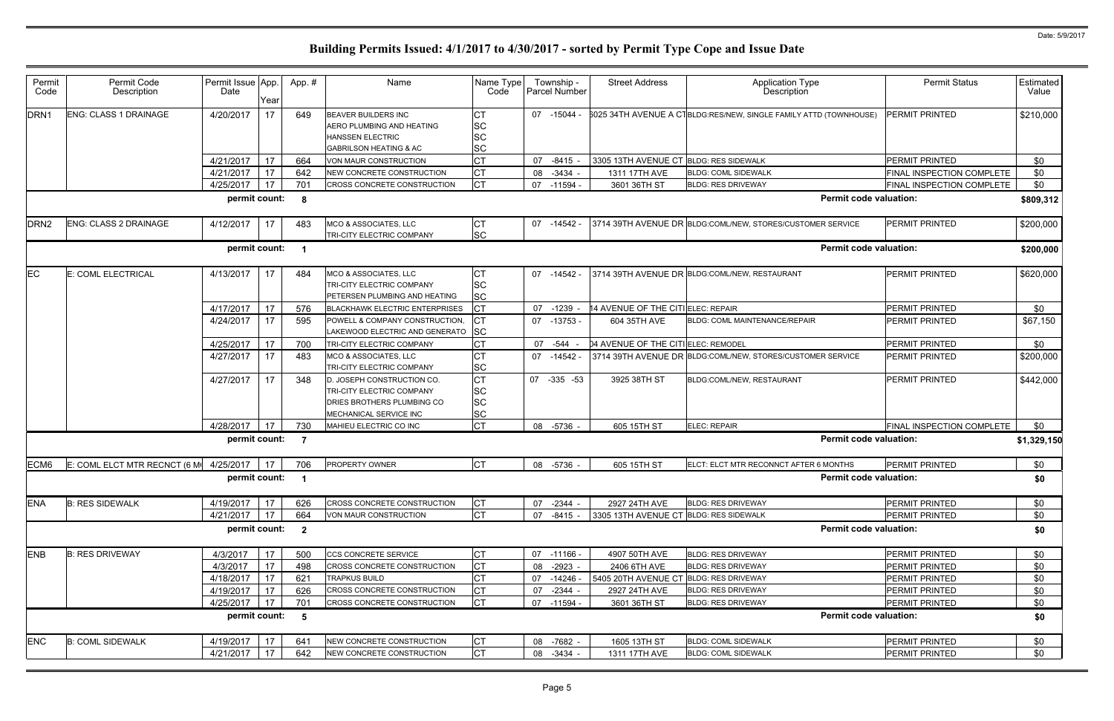| Permit<br>Code   | Permit Code<br>Description                            | Permit Issue App.<br>Date | Year | App.#                   | Name                                                                                                                    | Name Type<br>Code                                | Township -<br>Parcel Number |           | <b>Street Address</b>                  | <b>Application Type</b><br>Description                            | <b>Permit Status</b>             | Estimated<br>Value |
|------------------|-------------------------------------------------------|---------------------------|------|-------------------------|-------------------------------------------------------------------------------------------------------------------------|--------------------------------------------------|-----------------------------|-----------|----------------------------------------|-------------------------------------------------------------------|----------------------------------|--------------------|
| DRN <sub>1</sub> | <b>ENG: CLASS 1 DRAINAGE</b>                          | 4/20/2017                 | 17   | 649                     | <b>BEAVER BUILDERS INC</b><br>AERO PLUMBING AND HEATING<br><b>HANSSEN ELECTRIC</b><br><b>GABRILSON HEATING &amp; AC</b> | Iст<br><b>SC</b><br>SC<br><b>SC</b>              | 07 -15044 -                 |           |                                        | 6025 34TH AVENUE A CTBLDG:RES/NEW, SINGLE FAMILY ATTD (TOWNHOUSE) | <b>PERMIT PRINTED</b>            | \$210,000          |
|                  |                                                       | 4/21/2017                 | 17   | 664                     | VON MAUR CONSTRUCTION                                                                                                   | <b>CT</b>                                        | 07 -8415 -                  |           | 3305 13TH AVENUE CT BLDG: RES SIDEWALK |                                                                   | <b>PERMIT PRINTED</b>            | \$0                |
|                  |                                                       | 4/21/2017                 | 17   | 642                     | NEW CONCRETE CONSTRUCTION                                                                                               | СT                                               | 08 -3434 -                  |           | 1311 17TH AVE                          | <b>BLDG: COML SIDEWALK</b>                                        | <b>FINAL INSPECTION COMPLETE</b> | \$0                |
|                  |                                                       | 4/25/2017                 | 17   | 701                     | CROSS CONCRETE CONSTRUCTION                                                                                             | <b>ICT</b>                                       | 07                          | $-11594$  | 3601 36TH ST                           | <b>BLDG: RES DRIVEWAY</b>                                         | <b>FINAL INSPECTION COMPLETE</b> | \$0                |
|                  |                                                       | permit count:             |      | 8                       |                                                                                                                         |                                                  |                             |           |                                        | <b>Permit code valuation:</b>                                     |                                  | \$809,312          |
| DRN <sub>2</sub> | ENG: CLASS 2 DRAINAGE                                 | 4/12/2017                 | 17   | 483                     | MCO & ASSOCIATES, LLC<br>TRI-CITY ELECTRIC COMPANY                                                                      | <b>CT</b><br><b>SC</b>                           | 07 -14542 -                 |           |                                        | 3714 39TH AVENUE DR BLDG:COML/NEW, STORES/CUSTOMER SERVICE        | <b>PERMIT PRINTED</b>            | \$200,000          |
|                  |                                                       | permit count:             |      | - 1                     |                                                                                                                         |                                                  |                             |           |                                        | <b>Permit code valuation:</b>                                     |                                  | \$200,000          |
| EC               | E: COML ELECTRICAL                                    | 4/13/2017                 | 17   | 484                     | MCO & ASSOCIATES, LLC<br>TRI-CITY ELECTRIC COMPANY<br>PETERSEN PLUMBING AND HEATING                                     | IСТ<br><b>SC</b><br><b>SC</b>                    | 07 -14542 -                 |           |                                        | 3714 39TH AVENUE DR BLDG:COML/NEW, RESTAURANT                     | <b>PERMIT PRINTED</b>            | \$620,000          |
|                  |                                                       | 4/17/2017                 | 17   | 576                     | <b>BLACKHAWK ELECTRIC ENTERPRISES</b>                                                                                   |                                                  | 07                          | $-1239$   | 14 AVENUE OF THE CITIELEC: REPAIR      |                                                                   | <b>PERMIT PRINTED</b>            | \$0                |
|                  |                                                       | 4/24/2017                 | 17   | 595                     | POWELL & COMPANY CONSTRUCTION,<br>LAKEWOOD ELECTRIC AND GENERATO                                                        | <b>SC</b>                                        | 07 -13753 -                 |           | 604 35TH AVE                           | BLDG: COML MAINTENANCE/REPAIR                                     | <b>PERMIT PRINTED</b>            | \$67,150           |
|                  |                                                       | 4/25/2017                 | 17   | 700                     | TRI-CITY ELECTRIC COMPANY                                                                                               | <b>CT</b>                                        | 07                          | -544      | 04 AVENUE OF THE CITIELEC: REMODEL     |                                                                   | PERMIT PRINTED                   | \$0                |
|                  |                                                       | 4/27/2017                 | 17   | 483                     | MCO & ASSOCIATES, LLC<br>TRI-CITY ELECTRIC COMPANY                                                                      | <b>CT</b><br><b>SC</b>                           | 07 -14542 -                 |           |                                        | 3714 39TH AVENUE DR BLDG:COML/NEW, STORES/CUSTOMER SERVICE        | <b>PERMIT PRINTED</b>            | \$200,000          |
|                  |                                                       | 4/27/2017                 | 17   | 348                     | D. JOSEPH CONSTRUCTION CO.<br>TRI-CITY ELECTRIC COMPANY<br>DRIES BROTHERS PLUMBING CO<br>MECHANICAL SERVICE INC         | <b>CT</b><br><b>SC</b><br><b>SC</b><br><b>SC</b> | 07 -335 -53                 |           | 3925 38TH ST                           | BLDG:COML/NEW, RESTAURANT                                         | <b>PERMIT PRINTED</b>            | \$442,000          |
|                  |                                                       | 4/28/2017                 | 17   | 730                     | MAHIEU ELECTRIC CO INC                                                                                                  | <b>ICT</b>                                       | 08 -5736 -                  |           | 605 15TH ST                            | <b>ELEC: REPAIR</b>                                               | FINAL INSPECTION COMPLETE        | \$0                |
|                  |                                                       | permit count:             |      | $\overline{7}$          |                                                                                                                         |                                                  |                             |           |                                        | <b>Permit code valuation:</b>                                     |                                  | \$1,329,150        |
| ECM <sub>6</sub> | E: COML ELCT MTR RECNCT (6 M <sup>d</sup> $4/25/2017$ |                           | 17   | 706                     | <b>PROPERTY OWNER</b>                                                                                                   | <b>ICT</b>                                       | 08 -5736 -                  |           | 605 15TH ST                            | ELCT: ELCT MTR RECONNCT AFTER 6 MONTHS                            | PERMIT PRINTED                   | \$0                |
|                  |                                                       | permit count: 1           |      |                         |                                                                                                                         |                                                  |                             |           |                                        | <b>Permit code valuation:</b>                                     |                                  | \$0                |
| <b>ENA</b>       | <b>B: RES SIDEWALK</b>                                | 4/19/2017                 | 17   | 626                     | CROSS CONCRETE CONSTRUCTION                                                                                             | <b>ICT</b>                                       | 07 -2344 -                  |           | 2927 24TH AVE                          | <b>BLDG: RES DRIVEWAY</b>                                         | <b>PERMIT PRINTED</b>            | \$0                |
|                  |                                                       | 4/21/2017                 | 17   | 664                     | VON MAUR CONSTRUCTION                                                                                                   | <b>CT</b>                                        | 07 -8415 -                  |           | 3305 13TH AVENUE CT BLDG: RES SIDEWALK |                                                                   | <b>PERMIT PRINTED</b>            | \$0                |
|                  |                                                       | permit count:             |      | $\overline{\mathbf{2}}$ |                                                                                                                         |                                                  |                             |           |                                        | <b>Permit code valuation:</b>                                     |                                  | \$0                |
| <b>ENB</b>       | <b>B: RES DRIVEWAY</b>                                | 4/3/2017                  | 17   | 500                     | CCS CONCRETE SERVICE                                                                                                    | <b>CT</b>                                        | 07 -11166 -                 |           | 4907 50TH AVE                          | <b>BLDG: RES DRIVEWAY</b>                                         | PERMIT PRINTED                   | \$0                |
|                  |                                                       | 4/3/2017                  | 17   | 498                     | CROSS CONCRETE CONSTRUCTION                                                                                             | <b>CT</b>                                        | 08 -2923 -                  |           | 2406 6TH AVE                           | <b>BLDG: RES DRIVEWAY</b>                                         | <b>PERMIT PRINTED</b>            | \$0                |
|                  |                                                       | 4/18/2017                 | 17   | 621                     | <b>TRAPKUS BUILD</b>                                                                                                    | <b>CT</b>                                        | 07 -14246 -                 |           | 5405 20TH AVENUE CT                    | <b>BLDG: RES DRIVEWAY</b>                                         | <b>PERMIT PRINTED</b>            | \$0                |
|                  |                                                       | 4/19/2017                 | 17   | 626                     | CROSS CONCRETE CONSTRUCTION                                                                                             | СT                                               | 07                          | $-2344$ - | 2927 24TH AVE                          | <b>BLDG: RES DRIVEWAY</b>                                         | PERMIT PRINTED                   | \$0                |
|                  |                                                       | 4/25/2017                 | 17   | 701                     | CROSS CONCRETE CONSTRUCTION                                                                                             | <b>CT</b>                                        | 07 -11594 -                 |           | 3601 36TH ST                           | <b>BLDG: RES DRIVEWAY</b>                                         | PERMIT PRINTED                   | \$0                |
|                  |                                                       | permit count:             |      | 5                       |                                                                                                                         |                                                  |                             |           |                                        | <b>Permit code valuation:</b>                                     |                                  | \$0                |
| <b>ENC</b>       | <b>B: COML SIDEWALK</b>                               | 4/19/2017                 | 17   | 641                     | NEW CONCRETE CONSTRUCTION                                                                                               | <b>CT</b>                                        | 08 -7682 -                  |           | 1605 13TH ST                           | <b>BLDG: COML SIDEWALK</b>                                        | <b>PERMIT PRINTED</b>            | \$0                |
|                  |                                                       | 4/21/2017                 | 17   | 642                     | NEW CONCRETE CONSTRUCTION                                                                                               | <b>CT</b>                                        | 08 -3434 -                  |           | 1311 17TH AVE                          | <b>BLDG: COML SIDEWALK</b>                                        | <b>PERMIT PRINTED</b>            | \$0                |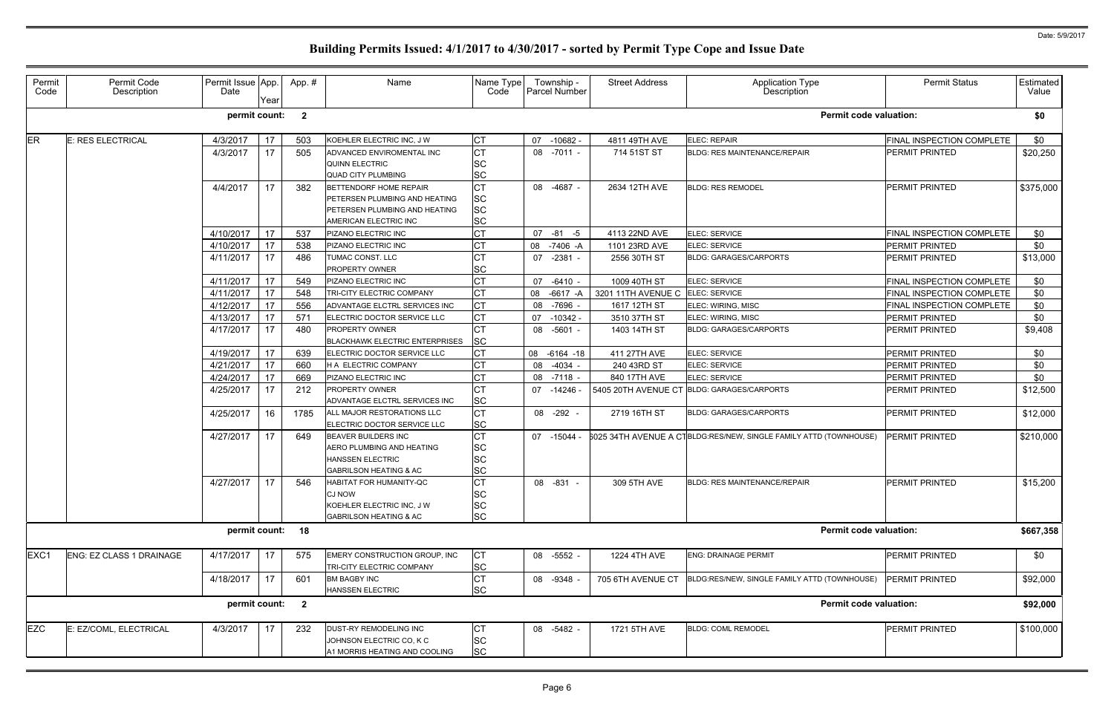| Permit<br>Code   | Permit Code<br>Description      | Permit Issue App.<br>Date | Year | App.#                   | Name                                                                                                              | Name Type<br>Code                           |    | Township -<br>Parcel Number | <b>Street Address</b> | <b>Application Type</b><br>Description                            | <b>Permit Status</b>             | Estimated<br>Value |
|------------------|---------------------------------|---------------------------|------|-------------------------|-------------------------------------------------------------------------------------------------------------------|---------------------------------------------|----|-----------------------------|-----------------------|-------------------------------------------------------------------|----------------------------------|--------------------|
|                  |                                 | permit count:             |      | $\overline{\mathbf{2}}$ |                                                                                                                   |                                             |    |                             |                       | <b>Permit code valuation:</b>                                     |                                  | \$0                |
| <b>ER</b>        | E: RES ELECTRICAL               | 4/3/2017                  | 17   | 503                     | KOEHLER ELECTRIC INC, J W                                                                                         | СT                                          |    | 07 -10682 -                 | 4811 49TH AVE         | <b>ELEC: REPAIR</b>                                               | <b>FINAL INSPECTION COMPLETE</b> | \$0                |
|                  |                                 | 4/3/2017                  | 17   | 505                     | ADVANCED ENVIROMENTAL INC<br><b>QUINN ELECTRIC</b><br><b>QUAD CITY PLUMBING</b>                                   | <b>CT</b><br>SC<br>SC                       |    | 08 -7011 -                  | 714 51ST ST           | <b>BLDG: RES MAINTENANCE/REPAIR</b>                               | <b>PERMIT PRINTED</b>            | \$20,250           |
|                  |                                 | 4/4/2017                  | 17   | 382                     | BETTENDORF HOME REPAIR<br>PETERSEN PLUMBING AND HEATING<br>PETERSEN PLUMBING AND HEATING<br>AMERICAN ELECTRIC INC | SC<br><b>SC</b><br><b>SC</b>                |    | 08 -4687 -                  | 2634 12TH AVE         | <b>BLDG: RES REMODEL</b>                                          | <b>PERMIT PRINTED</b>            | \$375,000          |
|                  |                                 | 4/10/2017                 | 17   | 537                     | PIZANO ELECTRIC INC                                                                                               |                                             |    | 07 -81 -5                   | 4113 22ND AVE         | ELEC: SERVICE                                                     | <b>FINAL INSPECTION COMPLETE</b> | \$0                |
|                  |                                 | 4/10/2017                 | 17   | 538                     | PIZANO ELECTRIC INC                                                                                               | СT                                          |    | 08 -7406 -A                 | 1101 23RD AVE         | ELEC: SERVICE                                                     | PERMIT PRINTED                   | \$0                |
|                  |                                 | 4/11/2017                 | 17   | 486                     | TUMAC CONST. LLC<br>PROPERTY OWNER                                                                                | SC                                          |    | 07 -2381 -                  | 2556 30TH ST          | <b>BLDG: GARAGES/CARPORTS</b>                                     | <b>PERMIT PRINTED</b>            | \$13,000           |
|                  |                                 | 4/11/2017                 | 17   | 549                     | PIZANO ELECTRIC INC                                                                                               |                                             | 07 | -6410 -                     | 1009 40TH ST          | ELEC: SERVICE                                                     | FINAL INSPECTION COMPLETE        | \$0                |
|                  |                                 | 4/11/2017                 | 17   | 548                     | TRI-CITY ELECTRIC COMPANY                                                                                         |                                             |    | 08 -6617 -A                 | 3201 11TH AVENUE C    | <b>ELEC: SERVICE</b>                                              | <b>FINAL INSPECTION COMPLETE</b> | \$0                |
|                  |                                 | 4/12/2017                 | 17   | 556                     | ADVANTAGE ELCTRL SERVICES INC                                                                                     |                                             |    | 08 -7696 -                  | 1617 12TH ST          | ELEC: WIRING, MISC                                                | <b>FINAL INSPECTION COMPLETE</b> | \$0                |
|                  |                                 | 4/13/2017                 | 17   | 571                     | ELECTRIC DOCTOR SERVICE LLC                                                                                       |                                             |    | 07 -10342 -                 | 3510 37TH ST          | ELEC: WIRING, MISC                                                | <b>PERMIT PRINTED</b>            | \$0                |
|                  |                                 | 4/17/2017                 | 17   | 480                     | PROPERTY OWNER<br><b>BLACKHAWK ELECTRIC ENTERPRISES</b>                                                           | SC                                          |    | 08 -5601 -                  | 1403 14TH ST          | <b>BLDG: GARAGES/CARPORTS</b>                                     | <b>PERMIT PRINTED</b>            | \$9,408            |
|                  |                                 | 4/19/2017                 | 17   | 639                     | ELECTRIC DOCTOR SERVICE LLC                                                                                       |                                             |    | 08 -6164 -18                | 411 27TH AVE          | ELEC: SERVICE                                                     | <b>PERMIT PRINTED</b>            | \$0                |
|                  |                                 | 4/21/2017                 | 17   | 660                     | H A ELECTRIC COMPANY                                                                                              |                                             |    | 08 -4034 -                  | 240 43RD ST           | ELEC: SERVICE                                                     | PERMIT PRINTED                   | \$0                |
|                  |                                 | 4/24/2017                 | 17   | 669                     | PIZANO ELECTRIC INC                                                                                               |                                             |    | 08 -7118 -                  | 840 17TH AVE          | ELEC: SERVICE                                                     | <b>PERMIT PRINTED</b>            | \$0                |
|                  |                                 | 4/25/2017                 | 17   | 212                     | PROPERTY OWNER<br>ADVANTAGE ELCTRL SERVICES INC                                                                   | <b>SC</b>                                   |    | 07 -14246 -                 |                       | 5405 20TH AVENUE CT BLDG: GARAGES/CARPORTS                        | <b>PERMIT PRINTED</b>            | \$12,500           |
|                  |                                 | 4/25/2017                 | 16   | 1785                    | ALL MAJOR RESTORATIONS LLC<br>ELECTRIC DOCTOR SERVICE LLC                                                         | СT<br><b>SC</b>                             |    | 08 -292 -                   | 2719 16TH ST          | <b>BLDG: GARAGES/CARPORTS</b>                                     | <b>PERMIT PRINTED</b>            | \$12,000           |
|                  |                                 | 4/27/2017                 | 17   | 649                     | <b>BEAVER BUILDERS INC</b><br>AERO PLUMBING AND HEATING<br>HANSSEN ELECTRIC<br><b>GABRILSON HEATING &amp; AC</b>  | СT<br>SC<br>SC<br><b>SC</b>                 |    | 07 -15044 -                 |                       | 6025 34TH AVENUE A CTBLDG:RES/NEW, SINGLE FAMILY ATTD (TOWNHOUSE) | <b>PERMIT PRINTED</b>            | \$210,000          |
|                  |                                 | 4/27/2017 17              |      | 546                     | HABITAT FOR HUMANITY-QC<br><b>CJ NOW</b><br>KOEHLER ELECTRIC INC, J W<br><b>GABRILSON HEATING &amp; AC</b>        | ו שו<br><b>SC</b><br><b>SC</b><br><b>SC</b> |    | 08 -831 -                   | 309 5TH AVE           | BLDG: RES MAINTENANCE/REPAIR                                      | PERMIT PRINTED                   | \$15,200           |
|                  |                                 | permit count: 18          |      |                         |                                                                                                                   |                                             |    |                             |                       | <b>Permit code valuation:</b>                                     |                                  | \$667,358          |
| EXC <sub>1</sub> | <b>ENG: EZ CLASS 1 DRAINAGE</b> | 4/17/2017                 | -17  | 575                     | EMERY CONSTRUCTION GROUP, INC<br>TRI-CITY ELECTRIC COMPANY                                                        | СT<br><b>SC</b>                             |    | 08 -5552 -                  | 1224 4TH AVE          | <b>ENG: DRAINAGE PERMIT</b>                                       | PERMIT PRINTED                   | \$0                |
|                  |                                 | 4/18/2017                 | 17   | 601                     | <b>BM BAGBY INC</b><br><b>HANSSEN ELECTRIC</b>                                                                    | Iст<br><b>SC</b>                            |    | 08 -9348                    | 705 6TH AVENUE CT     | BLDG:RES/NEW, SINGLE FAMILY ATTD (TOWNHOUSE)                      | <b>PERMIT PRINTED</b>            | \$92,000           |
|                  |                                 | permit count: 2           |      |                         |                                                                                                                   |                                             |    |                             |                       | <b>Permit code valuation:</b>                                     |                                  | \$92,000           |
| <b>EZC</b>       | E: EZ/COML, ELECTRICAL          | 4/3/2017                  | 17   | 232                     | DUST-RY REMODELING INC<br>JOHNSON ELECTRIC CO, K C<br>A1 MORRIS HEATING AND COOLING                               | IСТ<br><b>SC</b><br><b>SC</b>               |    | 08 -5482 -                  | 1721 5TH AVE          | <b>BLDG: COML REMODEL</b>                                         | <b>PERMIT PRINTED</b>            | \$100,000          |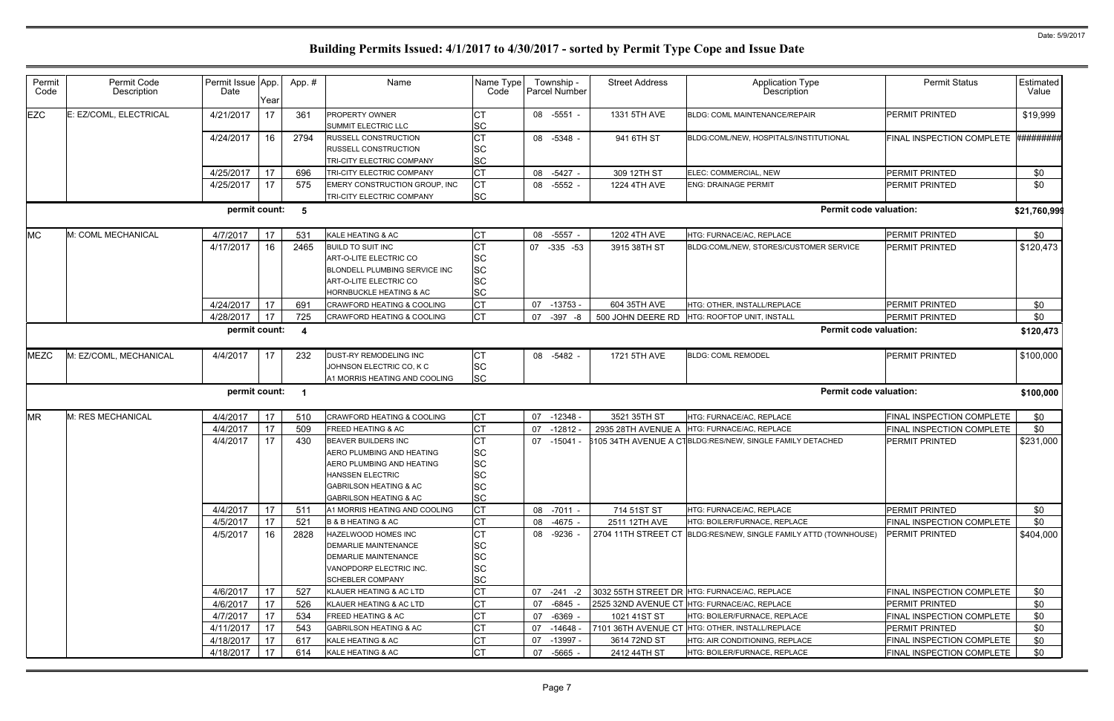|                               | <b>Permit Status</b>             | Estimated<br>Value |
|-------------------------------|----------------------------------|--------------------|
|                               | PERMIT PRINTED                   | \$19,999           |
| <b>UTIONAL</b>                | FINAL INSPECTION COMPLETE        | #########          |
|                               | PERMIT PRINTED                   | \$0                |
|                               | PERMIT PRINTED                   | \$0                |
| <b>Permit code valuation:</b> |                                  | \$21,760,99\$      |
|                               | PERMIT PRINTED                   | \$0                |
| <b>R SERVICE</b>              | PERMIT PRINTED                   | \$120,473          |
|                               | PERMIT PRINTED                   | \$0                |
|                               | PERMIT PRINTED                   | \$0                |
| <b>Permit code valuation:</b> |                                  | \$120,473          |
|                               | PERMIT PRINTED                   | \$100,000          |
| <b>Permit code valuation:</b> |                                  | \$100,000          |
|                               | <b>FINAL INSPECTION COMPLETE</b> | \$0                |
|                               | FINAL INSPECTION COMPLETE        | \$0                |
| ACHED                         | PERMIT PRINTED                   | \$231,000          |
|                               | PERMIT PRINTED                   | \$0                |
|                               | FINAL INSPECTION COMPLETE        | \$0                |
| (TOWNHOUSE)                   | <b>PERMIT PRINTED</b>            | \$404,000          |
|                               | <b>FINAL INSPECTION COMPLETE</b> | \$0                |
|                               | PERMIT PRINTED                   | \$0                |
|                               | FINAL INSPECTION COMPLETE        | \$0                |
|                               | PERMIT PRINTED                   | \$0                |
|                               | FINAL INSPECTION COMPLETE        | \$0                |
|                               | FINAL INSPECTION COMPLETE        | \$0                |

| Permit<br>Code | Permit Code<br>Description | Permit Issue App.<br>Date | Year | App.# | Name                                                                                                                                                                                      | Name Type<br>Code                                                          |    | Township -<br><b>Parcel Number</b> | <b>Street Address</b> | <b>Application Type</b><br>Description                           | <b>Permit Status</b>             | Estimated<br>Value |
|----------------|----------------------------|---------------------------|------|-------|-------------------------------------------------------------------------------------------------------------------------------------------------------------------------------------------|----------------------------------------------------------------------------|----|------------------------------------|-----------------------|------------------------------------------------------------------|----------------------------------|--------------------|
| <b>EZC</b>     | E: EZ/COML, ELECTRICAL     | 4/21/2017                 | 17   | 361   | <b>PROPERTY OWNER</b><br>SUMMIT ELECTRIC LLC                                                                                                                                              | <b>CT</b><br><b>SC</b>                                                     |    | 08 -5551 -                         | 1331 5TH AVE          | BLDG: COML MAINTENANCE/REPAIR                                    | <b>PERMIT PRINTED</b>            | \$19,999           |
|                |                            | 4/24/2017                 | 16   | 2794  | <b>RUSSELL CONSTRUCTION</b><br><b>RUSSELL CONSTRUCTION</b><br>TRI-CITY ELECTRIC COMPANY                                                                                                   | <b>CT</b><br><b>SC</b><br><b>SC</b>                                        |    | 08 -5348 -                         | 941 6TH ST            | BLDG:COML/NEW, HOSPITALS/INSTITUTIONAL                           | FINAL INSPECTION COMPLETE        | ##########         |
|                |                            | 4/25/2017                 | 17   | 696   | TRI-CITY ELECTRIC COMPANY                                                                                                                                                                 | <b>CT</b>                                                                  | 08 | $-5427 -$                          | 309 12TH ST           | ELEC: COMMERCIAL, NEW                                            | <b>PERMIT PRINTED</b>            | \$0                |
|                |                            | 4/25/2017                 | 17   | 575   | EMERY CONSTRUCTION GROUP, INC<br>TRI-CITY ELECTRIC COMPANY                                                                                                                                | <b>CT</b><br><b>SC</b>                                                     |    | 08 -5552 -                         | 1224 4TH AVE          | <b>ENG: DRAINAGE PERMIT</b>                                      | PERMIT PRINTED                   | \$0                |
|                |                            | permit count:             |      | $-5$  |                                                                                                                                                                                           |                                                                            |    |                                    |                       | <b>Permit code valuation:</b>                                    |                                  | \$21,760,99        |
| <b>MC</b>      | M: COML MECHANICAL         | 4/7/2017                  | 17   | 531   | KALE HEATING & AC                                                                                                                                                                         | <b>CT</b>                                                                  | 08 | $-5557 -$                          | 1202 4TH AVE          | HTG: FURNACE/AC, REPLACE                                         | <b>PERMIT PRINTED</b>            | \$0                |
|                |                            | 4/17/2017                 | 16   | 2465  | <b>BUILD TO SUIT INC</b><br>ART-O-LITE ELECTRIC CO<br><b>BLONDELL PLUMBING SERVICE INC</b>                                                                                                | <b>CT</b><br><b>SC</b><br><b>SC</b>                                        | 07 | $-335 -53$                         | 3915 38TH ST          | BLDG:COML/NEW, STORES/CUSTOMER SERVICE                           | <b>IPERMIT PRINTED</b>           | \$120,473          |
|                |                            |                           |      |       | ART-O-LITE ELECTRIC CO<br><b>HORNBUCKLE HEATING &amp; AC</b>                                                                                                                              | <b>SC</b><br><b>SC</b>                                                     |    |                                    |                       |                                                                  |                                  |                    |
|                |                            | 4/24/2017                 | 17   | 691   | <b>CRAWFORD HEATING &amp; COOLING</b>                                                                                                                                                     | <b>CT</b>                                                                  | 07 | $-13753$                           | 604 35TH AVE          | HTG: OTHER, INSTALL/REPLACE                                      | PERMIT PRINTED                   | \$0                |
|                |                            | 4/28/2017                 | 17   | 725   | CRAWFORD HEATING & COOLING                                                                                                                                                                | <b>CT</b>                                                                  | 07 | $-397 - 8$                         | 500 JOHN DEERE RD     | HTG: ROOFTOP UNIT, INSTALL                                       | <b>PERMIT PRINTED</b>            | \$0                |
|                |                            | permit count:             |      | - 4   |                                                                                                                                                                                           |                                                                            |    |                                    |                       | <b>Permit code valuation:</b>                                    |                                  | \$120,473          |
| <b>MEZC</b>    | M: EZ/COML, MECHANICAL     | 4/4/2017                  | 17   | 232   | DUST-RY REMODELING INC<br>JOHNSON ELECTRIC CO, K C<br>A1 MORRIS HEATING AND COOLING                                                                                                       | <b>CT</b><br><b>SC</b><br><b>SC</b>                                        |    | 08 -5482 -                         | 1721 5TH AVE          | <b>BLDG: COML REMODEL</b>                                        | <b>PERMIT PRINTED</b>            | \$100,000          |
|                |                            | permit count: 1           |      |       |                                                                                                                                                                                           |                                                                            |    |                                    |                       | <b>Permit code valuation:</b>                                    |                                  | \$100,000          |
| <b>MR</b>      | M: RES MECHANICAL          | 4/4/2017                  | 17   | 510   | <b>CRAWFORD HEATING &amp; COOLING</b>                                                                                                                                                     | <b>CT</b>                                                                  |    | 07 -12348 -                        | 3521 35TH ST          | HTG: FURNACE/AC, REPLACE                                         | FINAL INSPECTION COMPLETE        | \$0                |
|                |                            | 4/4/2017                  | 17   | 509   | <b>FREED HEATING &amp; AC</b>                                                                                                                                                             | <b>CT</b>                                                                  | 07 | $-12812 -$                         | 2935 28TH AVENUE A    | HTG: FURNACE/AC. REPLACE                                         | FINAL INSPECTION COMPLETE        | \$0                |
|                |                            | 4/4/2017                  | 17   | 430   | <b>BEAVER BUILDERS INC</b><br>AERO PLUMBING AND HEATING<br>AERO PLUMBING AND HEATING<br><b>HANSSEN ELECTRIC</b><br><b>GABRILSON HEATING &amp; AC</b><br><b>GABRILSON HEATING &amp; AC</b> | <b>CT</b><br><b>SC</b><br><b>SC</b><br><b>SC</b><br><b>SC</b><br><b>SC</b> | 07 | -15041 -                           |                       | 5105 34TH AVENUE A CTBLDG:RES/NEW, SINGLE FAMILY DETACHED        | <b>PERMIT PRINTED</b>            | \$231,000          |
|                |                            | 4/4/2017                  | 17   | 511   | A1 MORRIS HEATING AND COOLING                                                                                                                                                             | <b>CT</b>                                                                  |    | 08 -7011 -                         | 714 51ST ST           | HTG: FURNACE/AC, REPLACE                                         | <b>PERMIT PRINTED</b>            | \$0                |
|                |                            | 4/5/2017                  | 17   | 521   | <b>B &amp; B HEATING &amp; AC</b>                                                                                                                                                         | <b>CT</b>                                                                  |    | 08 -4675 -                         | 2511 12TH AVE         | HTG: BOILER/FURNACE, REPLACE                                     | FINAL INSPECTION COMPLETE        | \$0                |
|                |                            | 4/5/2017                  | 16   | 2828  | <b>HAZELWOOD HOMES INC</b><br>DEMARLIE MAINTENANCE<br>DEMARLIE MAINTENANCE<br>VANOPDORP ELECTRIC INC.<br><b>SCHEBLER COMPANY</b>                                                          | <b>CT</b><br><b>SC</b><br><b>SC</b><br><b>SC</b><br><b>SC</b>              |    | 08 -9236 -                         |                       | 2704 11TH STREET CT BLDG:RES/NEW, SINGLE FAMILY ATTD (TOWNHOUSE) | <b>PERMIT PRINTED</b>            | \$404,000          |
|                |                            | 4/6/2017                  | 17   | 527   | KLAUER HEATING & AC LTD                                                                                                                                                                   | <b>CT</b>                                                                  |    | 07 -241 -2                         |                       | 3032 55TH STREET DR HTG: FURNACE/AC, REPLACE                     | FINAL INSPECTION COMPLETE        | \$0                |
|                |                            | 4/6/2017                  | 17   | 526   | KLAUER HEATING & AC LTD                                                                                                                                                                   | <b>CT</b>                                                                  | 07 | $-6845$ -                          |                       | 2525 32ND AVENUE CT HTG: FURNACE/AC, REPLACE                     | <b>PERMIT PRINTED</b>            | \$0                |
|                |                            | 4/7/2017                  | 17   | 534   | <b>FREED HEATING &amp; AC</b>                                                                                                                                                             | <b>CT</b>                                                                  | 07 | $-6369 -$                          | 1021 41ST ST          | HTG: BOILER/FURNACE, REPLACE                                     | FINAL INSPECTION COMPLETE        | \$0                |
|                |                            | 4/11/2017                 | 17   | 543   | <b>GABRILSON HEATING &amp; AC</b>                                                                                                                                                         | <b>CT</b>                                                                  |    | 07 -14648 -                        |                       | 7101 36TH AVENUE CT HTG: OTHER, INSTALL/REPLACE                  | <b>PERMIT PRINTED</b>            | \$0                |
|                |                            | 4/18/2017                 | 17   | 617   | KALE HEATING & AC                                                                                                                                                                         | <b>CT</b>                                                                  | 07 | -13997 -                           | 3614 72ND ST          | HTG: AIR CONDITIONING, REPLACE                                   | FINAL INSPECTION COMPLETE        | \$0                |
|                |                            | 4/18/2017                 | 17   | 614   | KALE HEATING & AC                                                                                                                                                                         | <b>CT</b>                                                                  | 07 | $-5665 -$                          | 2412 44TH ST          | HTG: BOILER/FURNACE, REPLACE                                     | <b>FINAL INSPECTION COMPLETE</b> | \$0                |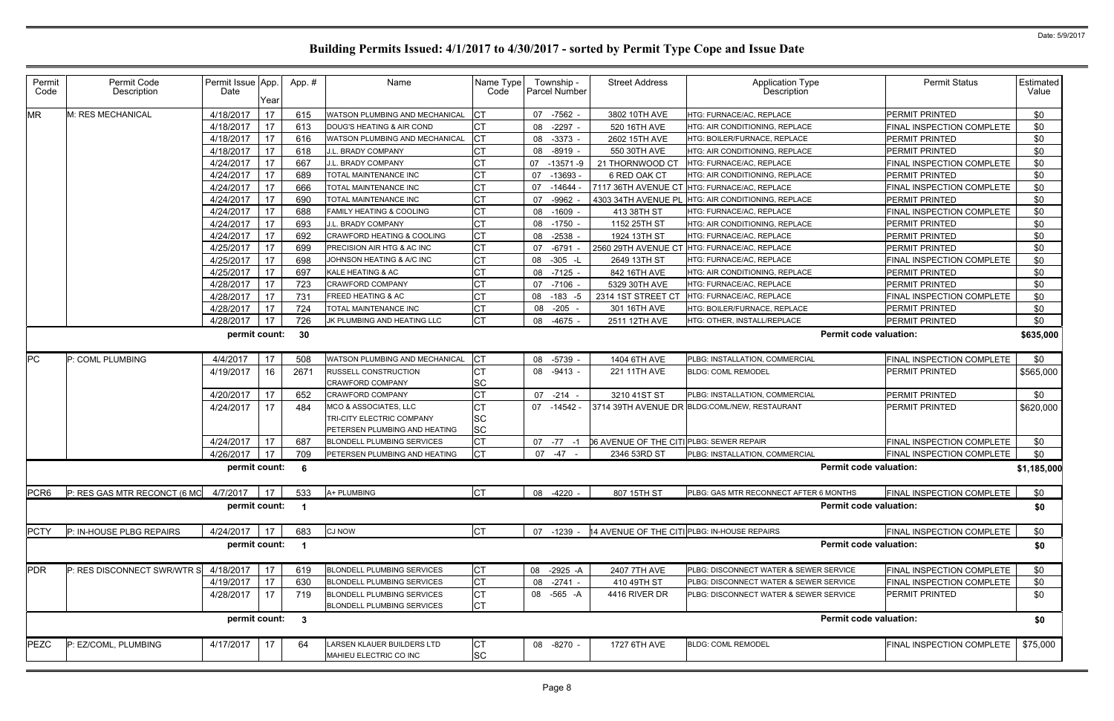| Permit<br>Code | Permit Code<br>Description   | Permit Issue App.<br>Date | Year | App.#        | Name                                                 | Name Type<br>Code | Township -<br>Parcel Number | <b>Street Address</b>                    | <b>Application Type</b><br>Description        | <b>Permit Status</b>             | Estimated<br>Value |
|----------------|------------------------------|---------------------------|------|--------------|------------------------------------------------------|-------------------|-----------------------------|------------------------------------------|-----------------------------------------------|----------------------------------|--------------------|
| <b>MR</b>      | M: RES MECHANICAL            | 4/18/2017                 | 17   | 615          | WATSON PLUMBING AND MECHANICAL                       |                   | 07 -7562 -                  | 3802 10TH AVE                            | HTG: FURNACE/AC, REPLACE                      | PERMIT PRINTED                   | \$0                |
|                |                              | 4/18/2017                 | 17   | 613          | DOUG'S HEATING & AIR COND                            |                   | 08 -2297 -                  | 520 16TH AVE                             | <b>HTG: AIR CONDITIONING. REPLACE</b>         | FINAL INSPECTION COMPLETE        | \$0                |
|                |                              | 4/18/2017                 | 17   | 616          | WATSON PLUMBING AND MECHANICAL                       | СT                | 08 -3373 -                  | 2602 15TH AVE                            | HTG: BOILER/FURNACE, REPLACE                  | PERMIT PRINTED                   | \$0                |
|                |                              | 4/18/2017                 | 17   | 618          | J.L. BRADY COMPANY                                   | СT                | 08<br>$-8919 -$             | 550 30TH AVE                             | <b>HTG: AIR CONDITIONING, REPLACE</b>         | <b>PERMIT PRINTED</b>            | \$0                |
|                |                              | 4/24/2017                 | 17   | 667          | J.L. BRADY COMPANY                                   | СT                | -13571-9<br>07              | 21 THORNWOOD CT                          | HTG: FURNACE/AC, REPLACE                      | FINAL INSPECTION COMPLETE        | \$0                |
|                |                              | 4/24/2017                 | 17   | 689          | <b>TOTAL MAINTENANCE INC</b>                         | СT                | $-13693$<br>07              | 6 RED OAK CT                             | HTG: AIR CONDITIONING, REPLACE                | <b>PERMIT PRINTED</b>            | \$0                |
|                |                              | 4/24/2017                 | 17   | 666          | TOTAL MAINTENANCE INC                                | СT                | 07 -14644                   | 7117 36TH AVENUE CT                      | HTG: FURNACE/AC, REPLACE                      | FINAL INSPECTION COMPLETE        | \$0                |
|                |                              | 4/24/2017                 | 17   | 690          | TOTAL MAINTENANCE INC                                | СT                | 07<br>$-9962$               | 4303 34TH AVENUE PL                      | HTG: AIR CONDITIONING, REPLACE                | <b>PERMIT PRINTED</b>            | \$0                |
|                |                              | 4/24/2017                 | 17   | 688          | FAMILY HEATING & COOLING                             | C1                | 08<br>-1609 -               | 413 38TH ST                              | HTG: FURNACE/AC, REPLACE                      | FINAL INSPECTION COMPLETE        | \$0                |
|                |                              | 4/24/2017                 | 17   | 693          | J.L. BRADY COMPANY                                   | СT                | 08<br>$-1750$               | 1152 25TH ST                             | <b>HTG: AIR CONDITIONING, REPLACE</b>         | <b>PERMIT PRINTED</b>            | \$0                |
|                |                              | 4/24/2017                 | 17   | 692          | <b>CRAWFORD HEATING &amp; COOLING</b>                | <b>CT</b>         | 08 -2538                    | 1924 13TH ST                             | HTG: FURNACE/AC, REPLACE                      | <b>PERMIT PRINTED</b>            | \$0                |
|                |                              | 4/25/2017                 | 17   | 699          | PRECISION AIR HTG & AC INC                           | СT                | $-6791$<br>07               | 2560 29TH AVENUE CT                      | HTG: FURNACE/AC, REPLACE                      | PERMIT PRINTED                   | \$0                |
|                |                              | 4/25/2017                 | 17   | 698          | JOHNSON HEATING & A/C INC                            | СT                | 08<br>$-305 - L$            | 2649 13TH ST                             | HTG: FURNACE/AC, REPLACE                      | FINAL INSPECTION COMPLETE        | \$0                |
|                |                              | 4/25/2017                 | 17   | 697          | KALE HEATING & AC                                    | СT                | 08 -7125 -                  | 842 16TH AVE                             | HTG: AIR CONDITIONING, REPLACE                | <b>PERMIT PRINTED</b>            | \$0                |
|                |                              | 4/28/2017                 | 17   | 723          | CRAWFORD COMPANY                                     | СT                | 07 -7106 -                  | 5329 30TH AVE                            | HTG: FURNACE/AC, REPLACE                      | <b>PERMIT PRINTED</b>            | \$0                |
|                |                              | 4/28/2017                 | 17   | 731          | <b>FREED HEATING &amp; AC</b>                        | СT                | 08 -183 -5                  | 2314 1ST STREET CT                       | HTG: FURNACE/AC, REPLACE                      | FINAL INSPECTION COMPLETE        | \$0                |
|                |                              | 4/28/2017                 | 17   | 724          | TOTAL MAINTENANCE INC                                | СT                | 08 -205                     | 301 16TH AVE                             | HTG: BOILER/FURNACE, REPLACE                  | <b>PERMIT PRINTED</b>            | \$0                |
|                |                              | 4/28/2017                 | 17   | 726          | JK PLUMBING AND HEATING LLC                          | CT                | 08 -4675 -                  | 2511 12TH AVE                            | HTG: OTHER, INSTALL/REPLACE                   | PERMIT PRINTED                   | \$0                |
|                |                              | permit count:             |      | 30           |                                                      |                   |                             |                                          | <b>Permit code valuation:</b>                 |                                  | \$635,000          |
| <b>PC</b>      | P: COML PLUMBING             | 4/4/2017                  | 17   | 508          | WATSON PLUMBING AND MECHANICAL                       | СT                | 08 -5739 -                  | 1404 6TH AVE                             | PLBG: INSTALLATION, COMMERCIAL                | <b>FINAL INSPECTION COMPLETE</b> | \$0                |
|                |                              | 4/19/2017                 | 16   | 2671         | <b>RUSSELL CONSTRUCTION</b>                          | <b>CT</b>         | 08 -9413 -                  | 221 11TH AVE                             | <b>BLDG: COML REMODEL</b>                     | <b>PERMIT PRINTED</b>            | \$565,000          |
|                |                              |                           |      |              | <b>CRAWFORD COMPANY</b>                              | SC                |                             |                                          |                                               |                                  |                    |
|                |                              | 4/20/2017                 | 17   | 652          | <b>CRAWFORD COMPANY</b>                              | СT                | $07 - 214 -$                | 3210 41ST ST                             | PLBG: INSTALLATION, COMMERCIAL                | <b>PERMIT PRINTED</b>            | \$0                |
|                |                              | 4/24/2017                 | 17   | 484          | MCO & ASSOCIATES, LLC                                | СT                | 07 -14542 -                 |                                          | 3714 39TH AVENUE DR BLDG:COML/NEW, RESTAURANT | PERMIT PRINTED                   | \$620,000          |
|                |                              |                           |      |              | <b>TRI-CITY ELECTRIC COMPANY</b>                     | <b>SC</b>         |                             |                                          |                                               |                                  |                    |
|                |                              |                           |      |              | PETERSEN PLUMBING AND HEATING                        | <b>SC</b>         |                             |                                          |                                               |                                  |                    |
|                |                              | 4/24/2017                 | 17   | 687          | <b>BLONDELL PLUMBING SERVICES</b>                    | СT                | 07 -77<br>$-1$              | 06 AVENUE OF THE CITI PLBG: SEWER REPAIR |                                               | FINAL INSPECTION COMPLETE        | \$0                |
|                |                              | 4/26/2017                 | 17   | 709          | PETERSEN PLUMBING AND HEATING                        | <b>CT</b>         | $07 - 47 -$                 | 2346 53RD ST                             | PLBG: INSTALLATION, COMMERCIAL                | FINAL INSPECTION COMPLETE        | \$0                |
|                |                              | permit count: 6           |      |              |                                                      |                   |                             |                                          | <b>Permit code valuation:</b>                 |                                  | \$1,185,000        |
| PCR6           | P: RES GAS MTR RECONCT (6 MC | 4/7/2017                  | 17   | 533          | A+ PLUMBING                                          | Iст               | 08 -4220 -                  | 807 15TH ST                              | PLBG: GAS MTR RECONNECT AFTER 6 MONTHS        | FINAL INSPECTION COMPLETE        | \$0                |
|                |                              | permit count:             |      |              |                                                      |                   |                             |                                          | <b>Permit code valuation:</b>                 |                                  | \$0                |
| <b>PCTY</b>    | P: IN-HOUSE PLBG REPAIRS     | 4/24/2017                 | 17   | 683          | <b>CJ NOW</b>                                        | <b>CT</b>         | 07 -1239 -                  |                                          | 14 AVENUE OF THE CITIPLBG: IN-HOUSE REPAIRS   | FINAL INSPECTION COMPLETE        | \$0                |
|                |                              | permit count:             |      | - 1          |                                                      |                   |                             |                                          | <b>Permit code valuation:</b>                 |                                  | \$0                |
| <b>PDR</b>     | P: RES DISCONNECT SWR/WTR S  | 4/18/2017                 | 17   | 619          | <b>BLONDELL PLUMBING SERVICES</b>                    | <b>CT</b>         | -2925 -A<br>08              | 2407 7TH AVE                             | PLBG: DISCONNECT WATER & SEWER SERVICE        | FINAL INSPECTION COMPLETE        | \$0                |
|                |                              | 4/19/2017                 | 17   | 630          | <b>BLONDELL PLUMBING SERVICES</b>                    | <b>CT</b>         | 08<br>$-2741 -$             | 410 49TH ST                              | PLBG: DISCONNECT WATER & SEWER SERVICE        | FINAL INSPECTION COMPLETE        | \$0                |
|                |                              | 4/28/2017                 | 17   | 719          | <b>BLONDELL PLUMBING SERVICES</b>                    | <b>CT</b>         | 08 -565 -A                  | 4416 RIVER DR                            | PLBG: DISCONNECT WATER & SEWER SERVICE        | <b>PERMIT PRINTED</b>            | \$0                |
|                |                              |                           |      |              | <b>BLONDELL PLUMBING SERVICES</b>                    | <b>CT</b>         |                             |                                          |                                               |                                  |                    |
|                |                              | permit count:             |      | $\mathbf{3}$ |                                                      |                   |                             |                                          | <b>Permit code valuation:</b>                 |                                  | \$0                |
| PEZC           | P: EZ/COML, PLUMBING         | 4/17/2017                 | 17   | 64           | LARSEN KLAUER BUILDERS LTD<br>MAHIEU ELECTRIC CO INC | IC1<br><b>SC</b>  | 08 -8270 -                  | 1727 6TH AVE                             | <b>BLDG: COML REMODEL</b>                     | FINAL INSPECTION COMPLETE        | \$75,000           |
|                |                              |                           |      |              |                                                      |                   |                             |                                          |                                               |                                  |                    |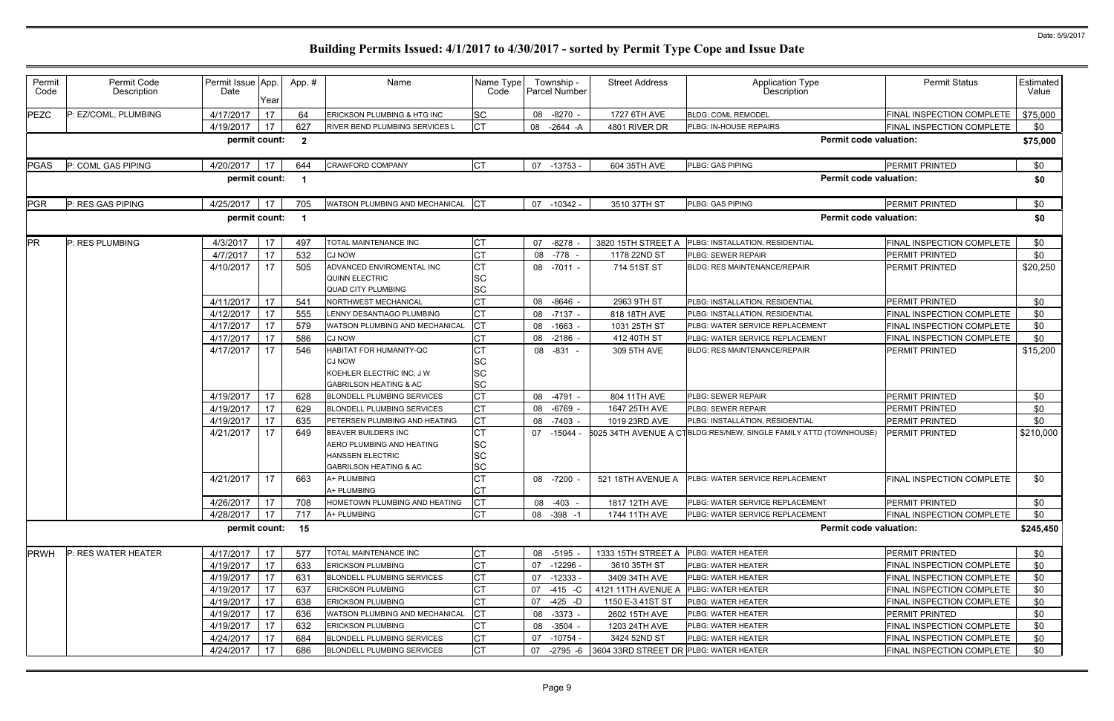| Permit<br>Code | Permit Code<br>Description | Permit Issue App.<br>Date | Year     | App.#                   | Name                                                                                                             | Name Type<br>Code | Township -<br>Parcel Number | <b>Street Address</b>                           | <b>Application Type</b><br>Description                             | <b>Permit Status</b>             | Estimated<br>Value |
|----------------|----------------------------|---------------------------|----------|-------------------------|------------------------------------------------------------------------------------------------------------------|-------------------|-----------------------------|-------------------------------------------------|--------------------------------------------------------------------|----------------------------------|--------------------|
| PEZC           | P: EZ/COML, PLUMBING       | 4/17/2017                 | 17       | 64                      | ERICKSON PLUMBING & HTG INC                                                                                      | <b>SC</b>         | 08 -8270 -                  | 1727 6TH AVE                                    | <b>BLDG: COML REMODEL</b>                                          | FINAL INSPECTION COMPLETE        | \$75,000           |
|                |                            | 4/19/2017                 | 17       | 627                     | RIVER BEND PLUMBING SERVICES L                                                                                   | <b>CT</b>         | $-2644 - A$<br>08           | 4801 RIVER DR                                   | PLBG: IN-HOUSE REPAIRS                                             | FINAL INSPECTION COMPLETE        | \$0                |
|                |                            | permit count:             |          | $\overline{\mathbf{2}}$ |                                                                                                                  |                   |                             |                                                 | <b>Permit code valuation:</b>                                      |                                  | \$75,000           |
| <b>PGAS</b>    | P: COML GAS PIPING         | 4/20/2017                 | -17      | 644                     | CRAWFORD COMPANY                                                                                                 | IСТ               | 07 -13753 -                 | 604 35TH AVE                                    | PLBG: GAS PIPING                                                   | PERMIT PRINTED                   | \$0                |
|                |                            | permit count:             |          | - 1                     |                                                                                                                  |                   |                             |                                                 | <b>Permit code valuation:</b>                                      |                                  | \$0                |
| PGR            | P: RES GAS PIPING          | 4/25/2017                 | 17       | 705                     | WATSON PLUMBING AND MECHANICAL                                                                                   |                   | 07 -10342 -                 | 3510 37TH ST                                    | PLBG: GAS PIPING                                                   | <b>PERMIT PRINTED</b>            | \$0                |
|                |                            | permit count:             |          | - 1                     |                                                                                                                  |                   |                             |                                                 | <b>Permit code valuation:</b>                                      |                                  | \$0                |
| <b>PR</b>      | P: RES PLUMBING            | 4/3/2017                  | 17       | 497                     | TOTAL MAINTENANCE INC                                                                                            | CТ                | 07 -8278                    | 3820 15TH STREET A                              | PLBG: INSTALLATION, RESIDENTIAL                                    | <b>FINAL INSPECTION COMPLETE</b> | \$0                |
|                |                            | 4/7/2017                  | 17       | 532                     | CJ NOW                                                                                                           | СT                | 08 -778                     | 1178 22ND ST                                    | PLBG: SEWER REPAIR                                                 | PERMIT PRINTED                   | \$0                |
|                |                            | 4/10/2017                 | -17      | 505                     | ADVANCED ENVIROMENTAL INC                                                                                        | CT                | 08 -7011 -                  | 714 51ST ST                                     | <b>BLDG: RES MAINTENANCE/REPAIR</b>                                | PERMIT PRINTED                   | \$20,250           |
|                |                            |                           |          |                         | <b>QUINN ELECTRIC</b>                                                                                            | SC                |                             |                                                 |                                                                    |                                  |                    |
|                |                            |                           |          |                         | <b>QUAD CITY PLUMBING</b>                                                                                        | SC                |                             |                                                 |                                                                    | PERMIT PRINTED                   |                    |
|                |                            | 4/11/2017<br>4/12/2017    | 17<br>17 | 541<br>555              | NORTHWEST MECHANICAL<br>ENNY DESANTIAGO PLUMBING                                                                 |                   | $-8646$<br>08               | 2963 9TH ST                                     | PLBG: INSTALLATION, RESIDENTIAL<br>PLBG: INSTALLATION, RESIDENTIAL | FINAL INSPECTION COMPLETE        | \$0                |
|                |                            | 4/17/2017                 | 17       | 579                     | WATSON PLUMBING AND MECHANICAL                                                                                   |                   | 08 -7137 -<br>08 -1663      | 818 18TH AVE<br>1031 25TH ST                    | PLBG: WATER SERVICE REPLACEMENT                                    | FINAL INSPECTION COMPLETE        | \$0<br>\$0         |
|                |                            | 4/17/2017                 | 17       | 586                     | <b>CJ NOW</b>                                                                                                    |                   | 08 -2186                    | 412 40TH ST                                     | PLBG: WATER SERVICE REPLACEMENT                                    | FINAL INSPECTION COMPLETE        | \$0                |
|                |                            | 4/17/2017                 | -17      | 546                     | HABITAT FOR HUMANITY-QC                                                                                          |                   | 08 -831 -                   | 309 5TH AVE                                     | <b>BLDG: RES MAINTENANCE/REPAIR</b>                                | PERMIT PRINTED                   | \$15,200           |
|                |                            |                           |          |                         | <b>CJ NOW</b>                                                                                                    | SC                |                             |                                                 |                                                                    |                                  |                    |
|                |                            |                           |          |                         | KOEHLER ELECTRIC INC, J W                                                                                        | <b>SC</b>         |                             |                                                 |                                                                    |                                  |                    |
|                |                            |                           |          |                         | GABRILSON HEATING & AC                                                                                           | SC                |                             |                                                 |                                                                    |                                  |                    |
|                |                            | 4/19/2017                 | 17       | 628                     | <b>BLONDELL PLUMBING SERVICES</b>                                                                                | СT                | 08 -4791 -                  | 804 11TH AVE                                    | PLBG: SEWER REPAIR                                                 | <b>PERMIT PRINTED</b>            | \$0                |
|                |                            | 4/19/2017                 | 17       | 629                     | <b>BLONDELL PLUMBING SERVICES</b>                                                                                | СT                | 08 -6769 -                  | 1647 25TH AVE                                   | PLBG: SEWER REPAIR                                                 | PERMIT PRINTED                   | \$0                |
|                |                            | 4/19/2017                 | 17       | 635                     | PETERSEN PLUMBING AND HEATING                                                                                    | <b>CT</b>         | 08 -7403 -                  | 1019 23RD AVE                                   | PLBG: INSTALLATION, RESIDENTIAL                                    | PERMIT PRINTED                   | \$0                |
|                |                            | 4/21/2017                 | 17       | 649                     | <b>BEAVER BUILDERS INC</b><br>AERO PLUMBING AND HEATING<br>HANSSEN ELECTRIC<br><b>GABRILSON HEATING &amp; AC</b> | SC<br>SC<br>SC    | 07 -15044                   |                                                 | 6025 34TH AVENUE A CTBLDG:RES/NEW, SINGLE FAMILY ATTD (TOWNHOUSE)  | <b>PERMIT PRINTED</b>            | \$210,000          |
|                |                            | 4/21/2017                 | 17       | 663                     | A+ PLUMBING<br>A+ PLUMBING                                                                                       | Inт               | 08 -7200                    |                                                 | 521 18TH AVENUE A   PLBG: WATER SERVICE REPLACEMENT                | FINAL INSPECTION COMPLETE        | \$0                |
|                |                            | 4/26/2017                 | 17       | 708                     | HOMETOWN PLUMBING AND HEATING                                                                                    |                   | 08 -403 -                   | 1817 12TH AVE                                   | PLBG: WATER SERVICE REPLACEMENT                                    | PERMIT PRINTED                   | \$0                |
|                |                            | 4/28/2017                 | 17       | 717                     | A+ PLUMBING                                                                                                      | СT                | 08 -398 -1                  | 1744 11TH AVE                                   | PLBG: WATER SERVICE REPLACEMENT                                    | FINAL INSPECTION COMPLETE        | \$0                |
|                |                            | permit count: 15          |          |                         |                                                                                                                  |                   |                             |                                                 | <b>Permit code valuation:</b>                                      |                                  | \$245,450          |
| PRWH           | P: RES WATER HEATER        | 4/17/2017                 | 17       | 577                     | TOTAL MAINTENANCE INC                                                                                            | <b>CT</b>         | 08 -5195 -                  | 1333 15TH STREET A PLBG: WATER HEATER           |                                                                    | PERMIT PRINTED                   | \$0                |
|                |                            | 4/19/2017                 | 17       | 633                     | <b>ERICKSON PLUMBING</b>                                                                                         |                   | 07 -12296 -                 | 3610 35TH ST                                    | PLBG: WATER HEATER                                                 | FINAL INSPECTION COMPLETE        | \$0                |
|                |                            | 4/19/2017                 | 17       | 631                     | <b>BLONDELL PLUMBING SERVICES</b>                                                                                |                   | 07 -12333 -                 | 3409 34TH AVE                                   | PLBG: WATER HEATER                                                 | FINAL INSPECTION COMPLETE        | \$0                |
|                |                            | 4/19/2017                 | 17       | 637                     | <b>ERICKSON PLUMBING</b>                                                                                         |                   | 07 -415 -C                  | 4121 11TH AVENUE A                              | <b>PLBG: WATER HEATER</b>                                          | FINAL INSPECTION COMPLETE        | \$0                |
|                |                            | 4/19/2017                 | 17       | 638                     | <b>ERICKSON PLUMBING</b>                                                                                         |                   | -425 -D<br>07               | 1150 E-3 41ST ST                                | PLBG: WATER HEATER                                                 | <b>FINAL INSPECTION COMPLETE</b> | \$0                |
|                |                            | 4/19/2017                 | 17       | 636                     | WATSON PLUMBING AND MECHANICAL                                                                                   |                   | 08 -3373 -                  | 2602 15TH AVE                                   | PLBG: WATER HEATER                                                 | PERMIT PRINTED                   | \$0                |
|                |                            | 4/19/2017                 | 17       | 632                     | <b>ERICKSON PLUMBING</b>                                                                                         |                   | 08 -3504 -                  | 1203 24TH AVE                                   | PLBG: WATER HEATER                                                 | FINAL INSPECTION COMPLETE        | \$0                |
|                |                            | 4/24/2017                 | 17       | 684                     | <b>BLONDELL PLUMBING SERVICES</b>                                                                                |                   | 07 -10754 -                 | 3424 52ND ST                                    | PLBG: WATER HEATER                                                 | FINAL INSPECTION COMPLETE        | \$0                |
|                |                            | 4/24/2017                 | 17       | 686                     | <b>BLONDELL PLUMBING SERVICES</b>                                                                                |                   | 07                          | -2795 -6 3604 33RD STREET DR PLBG: WATER HEATER |                                                                    | FINAL INSPECTION COMPLETE        | \$0                |